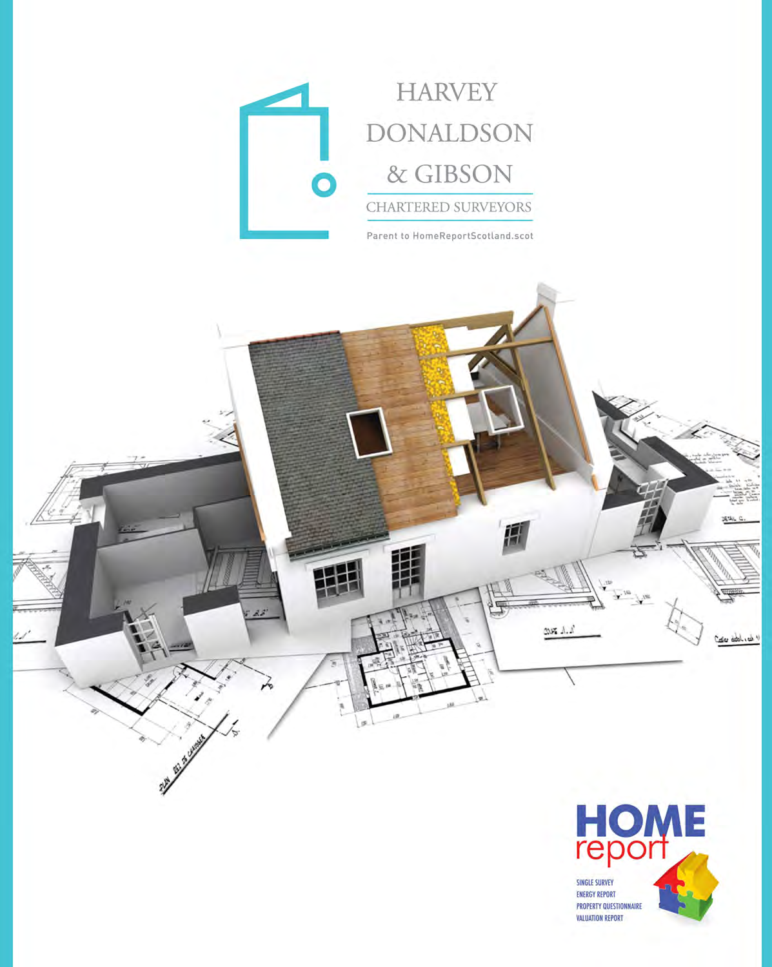



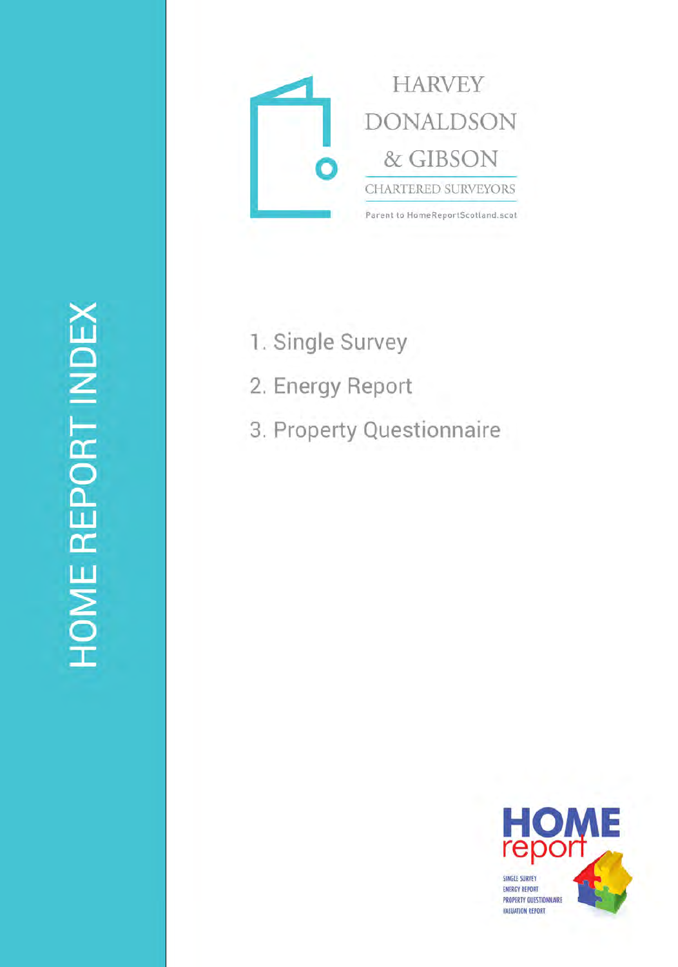

- 1. Single Survey
- 2. Energy Report
- 3. Property Questionnaire

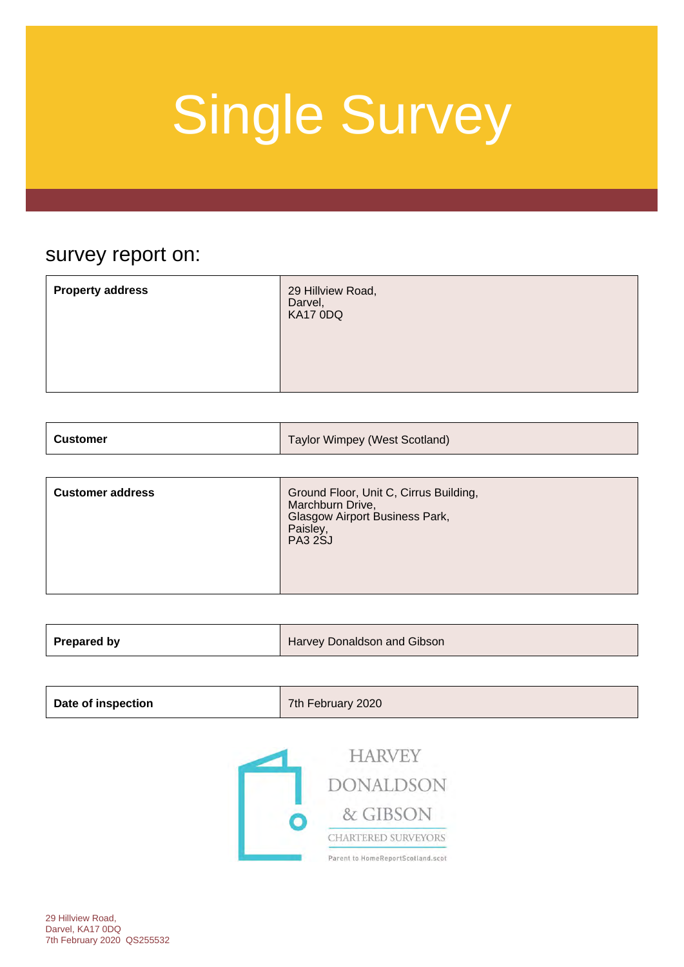### survey report on:

|  | <b>Property address</b><br>29 Hillview Road,<br>Darvel,<br>KA17 0DQ |  |
|--|---------------------------------------------------------------------|--|
|--|---------------------------------------------------------------------|--|

| <b>Customer</b> | Taylor Wimpey (West Scotland) |
|-----------------|-------------------------------|
|-----------------|-------------------------------|

| <b>Customer address</b> | Ground Floor, Unit C, Cirrus Building,<br>Marchburn Drive,<br>Glasgow Airport Business Park,<br>Paisley,<br><b>PA3 2SJ</b> |
|-------------------------|----------------------------------------------------------------------------------------------------------------------------|
|-------------------------|----------------------------------------------------------------------------------------------------------------------------|

| Prepared by<br>Harvey Donaldson and Gibson |
|--------------------------------------------|
|--------------------------------------------|

| Date of inspection | 7th February 2020 |
|--------------------|-------------------|
|--------------------|-------------------|

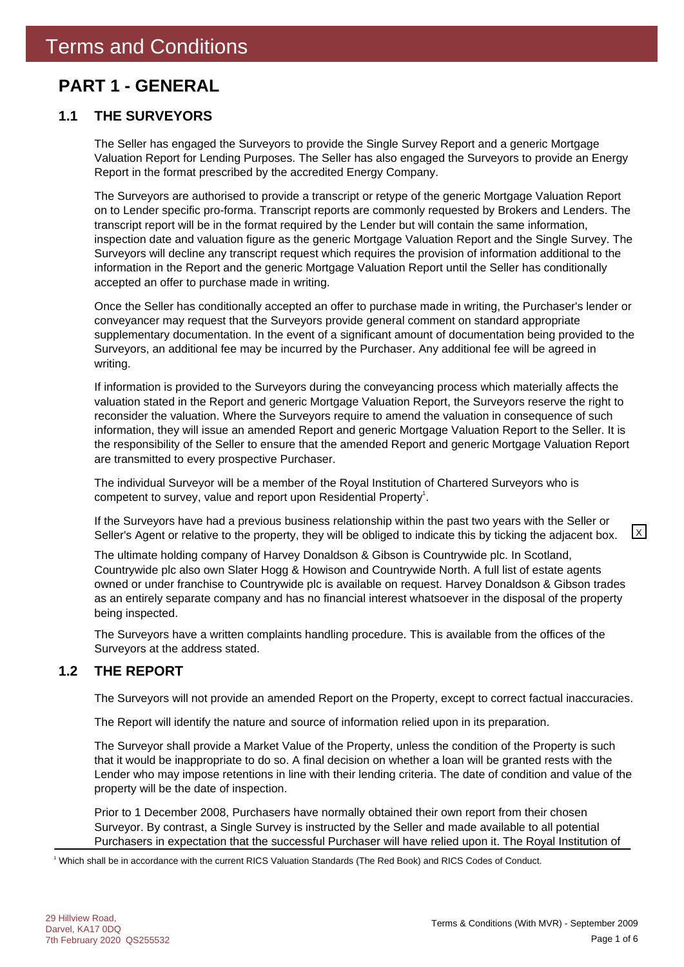### **PART 1 - GENERAL**

### **1.1 THE SURVEYORS**

The Seller has engaged the Surveyors to provide the Single Survey Report and a generic Mortgage Valuation Report for Lending Purposes. The Seller has also engaged the Surveyors to provide an Energy Report in the format prescribed by the accredited Energy Company.

The Surveyors are authorised to provide a transcript or retype of the generic Mortgage Valuation Report on to Lender specific pro-forma. Transcript reports are commonly requested by Brokers and Lenders. The transcript report will be in the format required by the Lender but will contain the same information, inspection date and valuation figure as the generic Mortgage Valuation Report and the Single Survey. The Surveyors will decline any transcript request which requires the provision of information additional to the information in the Report and the generic Mortgage Valuation Report until the Seller has conditionally accepted an offer to purchase made in writing.

Once the Seller has conditionally accepted an offer to purchase made in writing, the Purchaser's lender or conveyancer may request that the Surveyors provide general comment on standard appropriate supplementary documentation. In the event of a significant amount of documentation being provided to the Surveyors, an additional fee may be incurred by the Purchaser. Any additional fee will be agreed in writing.

If information is provided to the Surveyors during the conveyancing process which materially affects the valuation stated in the Report and generic Mortgage Valuation Report, the Surveyors reserve the right to reconsider the valuation. Where the Surveyors require to amend the valuation in consequence of such information, they will issue an amended Report and generic Mortgage Valuation Report to the Seller. It is the responsibility of the Seller to ensure that the amended Report and generic Mortgage Valuation Report are transmitted to every prospective Purchaser.

The individual Surveyor will be a member of the Royal Institution of Chartered Surveyors who is competent to survey, value and report upon Residential Property<sup>1</sup>.

If the Surveyors have had a previous business relationship within the past two years with the Seller or Seller's Agent or relative to the property, they will be obliged to indicate this by ticking the adjacent box.  $\boxed{\times}$ 

The ultimate holding company of Harvey Donaldson & Gibson is Countrywide plc. In Scotland, Countrywide plc also own Slater Hogg & Howison and Countrywide North. A full list of estate agents owned or under franchise to Countrywide plc is available on request. Harvey Donaldson & Gibson trades as an entirely separate company and has no financial interest whatsoever in the disposal of the property being inspected.

The Surveyors have a written complaints handling procedure. This is available from the offices of the Surveyors at the address stated.

### **1.2 THE REPORT**

The Surveyors will not provide an amended Report on the Property, except to correct factual inaccuracies.

The Report will identify the nature and source of information relied upon in its preparation.

The Surveyor shall provide a Market Value of the Property, unless the condition of the Property is such that it would be inappropriate to do so. A final decision on whether a loan will be granted rests with the Lender who may impose retentions in line with their lending criteria. The date of condition and value of the property will be the date of inspection.

Prior to 1 December 2008, Purchasers have normally obtained their own report from their chosen Surveyor. By contrast, a Single Survey is instructed by the Seller and made available to all potential Purchasers in expectation that the successful Purchaser will have relied upon it. The Royal Institution of

1 Which shall be in accordance with the current RICS Valuation Standards (The Red Book) and RICS Codes of Conduct.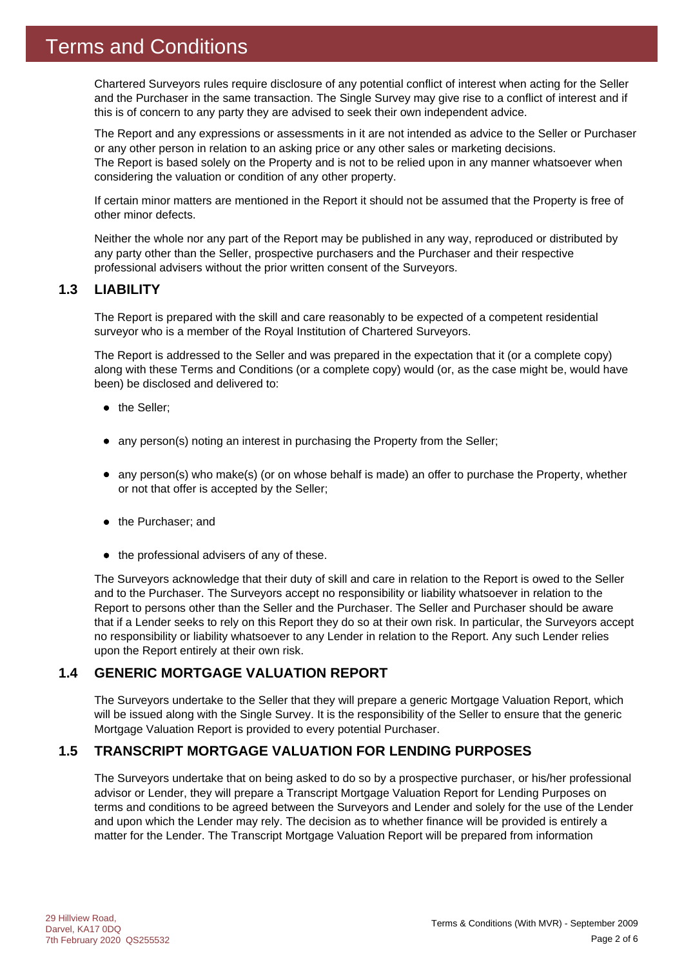Chartered Surveyors rules require disclosure of any potential conflict of interest when acting for the Seller and the Purchaser in the same transaction. The Single Survey may give rise to a conflict of interest and if this is of concern to any party they are advised to seek their own independent advice.

The Report and any expressions or assessments in it are not intended as advice to the Seller or Purchaser or any other person in relation to an asking price or any other sales or marketing decisions. The Report is based solely on the Property and is not to be relied upon in any manner whatsoever when considering the valuation or condition of any other property.

If certain minor matters are mentioned in the Report it should not be assumed that the Property is free of other minor defects.

Neither the whole nor any part of the Report may be published in any way, reproduced or distributed by any party other than the Seller, prospective purchasers and the Purchaser and their respective professional advisers without the prior written consent of the Surveyors.

### **1.3 LIABILITY**

The Report is prepared with the skill and care reasonably to be expected of a competent residential surveyor who is a member of the Royal Institution of Chartered Surveyors.

The Report is addressed to the Seller and was prepared in the expectation that it (or a complete copy) along with these Terms and Conditions (or a complete copy) would (or, as the case might be, would have been) be disclosed and delivered to:

- the Seller;
- any person(s) noting an interest in purchasing the Property from the Seller;
- any person(s) who make(s) (or on whose behalf is made) an offer to purchase the Property, whether or not that offer is accepted by the Seller;
- the Purchaser; and
- $\bullet$  the professional advisers of any of these.

The Surveyors acknowledge that their duty of skill and care in relation to the Report is owed to the Seller and to the Purchaser. The Surveyors accept no responsibility or liability whatsoever in relation to the Report to persons other than the Seller and the Purchaser. The Seller and Purchaser should be aware that if a Lender seeks to rely on this Report they do so at their own risk. In particular, the Surveyors accept no responsibility or liability whatsoever to any Lender in relation to the Report. Any such Lender relies upon the Report entirely at their own risk.

### **1.4 GENERIC MORTGAGE VALUATION REPORT**

The Surveyors undertake to the Seller that they will prepare a generic Mortgage Valuation Report, which will be issued along with the Single Survey. It is the responsibility of the Seller to ensure that the generic Mortgage Valuation Report is provided to every potential Purchaser.

### **1.5 TRANSCRIPT MORTGAGE VALUATION FOR LENDING PURPOSES**

The Surveyors undertake that on being asked to do so by a prospective purchaser, or his/her professional advisor or Lender, they will prepare a Transcript Mortgage Valuation Report for Lending Purposes on terms and conditions to be agreed between the Surveyors and Lender and solely for the use of the Lender and upon which the Lender may rely. The decision as to whether finance will be provided is entirely a matter for the Lender. The Transcript Mortgage Valuation Report will be prepared from information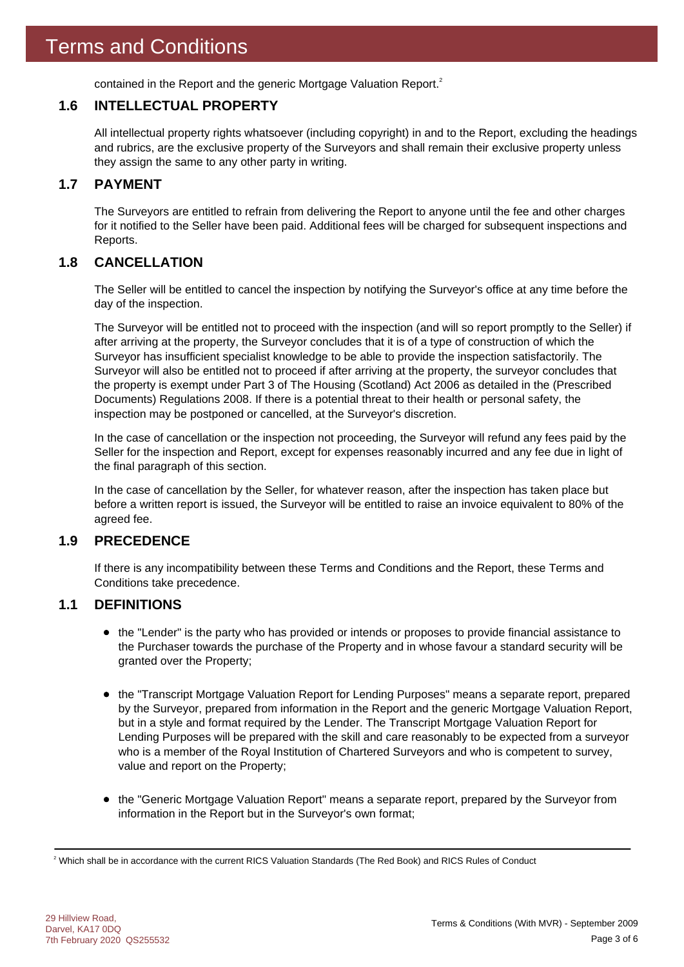contained in the Report and the generic Mortgage Valuation Report.<sup>2</sup>

### **1.6 INTELLECTUAL PROPERTY**

All intellectual property rights whatsoever (including copyright) in and to the Report, excluding the headings and rubrics, are the exclusive property of the Surveyors and shall remain their exclusive property unless they assign the same to any other party in writing.

### **1.7 PAYMENT**

The Surveyors are entitled to refrain from delivering the Report to anyone until the fee and other charges for it notified to the Seller have been paid. Additional fees will be charged for subsequent inspections and Reports.

### **1.8 CANCELLATION**

The Seller will be entitled to cancel the inspection by notifying the Surveyor's office at any time before the day of the inspection.

The Surveyor will be entitled not to proceed with the inspection (and will so report promptly to the Seller) if after arriving at the property, the Surveyor concludes that it is of a type of construction of which the Surveyor has insufficient specialist knowledge to be able to provide the inspection satisfactorily. The Surveyor will also be entitled not to proceed if after arriving at the property, the surveyor concludes that the property is exempt under Part 3 of The Housing (Scotland) Act 2006 as detailed in the (Prescribed Documents) Regulations 2008. If there is a potential threat to their health or personal safety, the inspection may be postponed or cancelled, at the Surveyor's discretion.

In the case of cancellation or the inspection not proceeding, the Surveyor will refund any fees paid by the Seller for the inspection and Report, except for expenses reasonably incurred and any fee due in light of the final paragraph of this section.

In the case of cancellation by the Seller, for whatever reason, after the inspection has taken place but before a written report is issued, the Surveyor will be entitled to raise an invoice equivalent to 80% of the agreed fee.

### **1.9 PRECEDENCE**

If there is any incompatibility between these Terms and Conditions and the Report, these Terms and Conditions take precedence.

### **1.1 DEFINITIONS**

- the "Lender" is the party who has provided or intends or proposes to provide financial assistance to the Purchaser towards the purchase of the Property and in whose favour a standard security will be granted over the Property;
- the "Transcript Mortgage Valuation Report for Lending Purposes" means a separate report, prepared by the Surveyor, prepared from information in the Report and the generic Mortgage Valuation Report, but in a style and format required by the Lender. The Transcript Mortgage Valuation Report for Lending Purposes will be prepared with the skill and care reasonably to be expected from a surveyor who is a member of the Royal Institution of Chartered Surveyors and who is competent to survey, value and report on the Property;
- the "Generic Mortgage Valuation Report" means a separate report, prepared by the Surveyor from information in the Report but in the Surveyor's own format;

 $^2$  Which shall be in accordance with the current RICS Valuation Standards (The Red Book) and RICS Rules of Conduct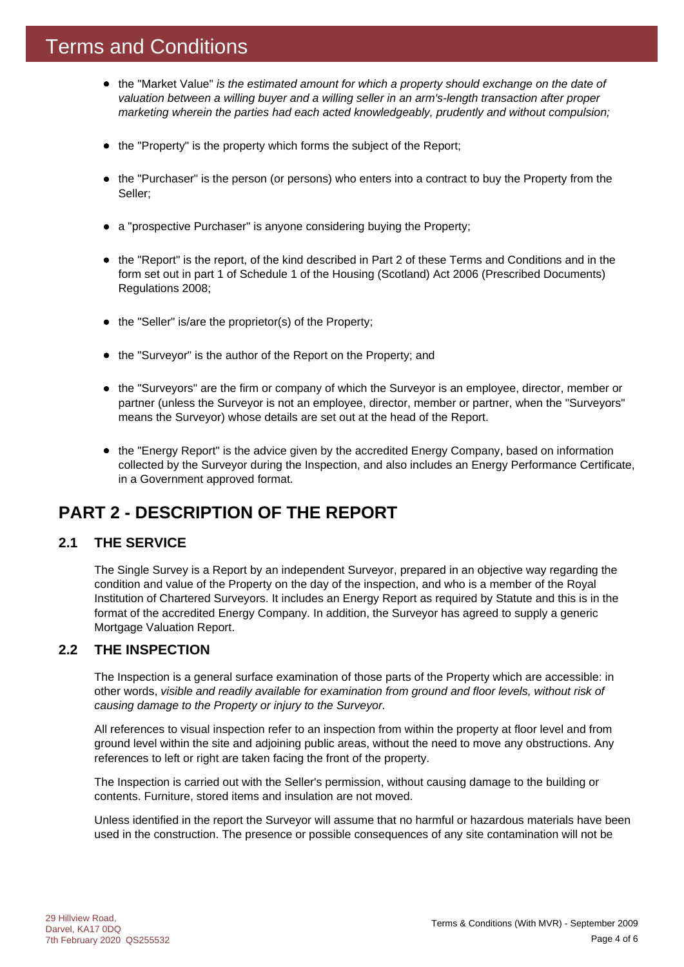### Terms and Conditions

- the "Market Value" *is the estimated amount for which a property should exchange on the date of valuation between a willing buyer and a willing seller in an arm's-length transaction after proper marketing wherein the parties had each acted knowledgeably, prudently and without compulsion;*
- the "Property" is the property which forms the subject of the Report;
- the "Purchaser" is the person (or persons) who enters into a contract to buy the Property from the Seller;
- a "prospective Purchaser" is anyone considering buying the Property;
- the "Report" is the report, of the kind described in Part 2 of these Terms and Conditions and in the form set out in part 1 of Schedule 1 of the Housing (Scotland) Act 2006 (Prescribed Documents) Regulations 2008;
- $\bullet$  the "Seller" is/are the proprietor(s) of the Property;
- the "Surveyor" is the author of the Report on the Property; and
- the "Surveyors" are the firm or company of which the Surveyor is an employee, director, member or partner (unless the Surveyor is not an employee, director, member or partner, when the "Surveyors" means the Surveyor) whose details are set out at the head of the Report.
- the "Energy Report" is the advice given by the accredited Energy Company, based on information collected by the Surveyor during the Inspection, and also includes an Energy Performance Certificate, in a Government approved format.

### **PART 2 - DESCRIPTION OF THE REPORT**

### **2.1 THE SERVICE**

The Single Survey is a Report by an independent Surveyor, prepared in an objective way regarding the condition and value of the Property on the day of the inspection, and who is a member of the Royal Institution of Chartered Surveyors. It includes an Energy Report as required by Statute and this is in the format of the accredited Energy Company. In addition, the Surveyor has agreed to supply a generic Mortgage Valuation Report.

### **2.2 THE INSPECTION**

The Inspection is a general surface examination of those parts of the Property which are accessible: in other words, *visible and readily available for examination from ground and floor levels, without risk of causing damage to the Property or injury to the Surveyor.*

All references to visual inspection refer to an inspection from within the property at floor level and from ground level within the site and adjoining public areas, without the need to move any obstructions. Any references to left or right are taken facing the front of the property.

The Inspection is carried out with the Seller's permission, without causing damage to the building or contents. Furniture, stored items and insulation are not moved.

Unless identified in the report the Surveyor will assume that no harmful or hazardous materials have been used in the construction. The presence or possible consequences of any site contamination will not be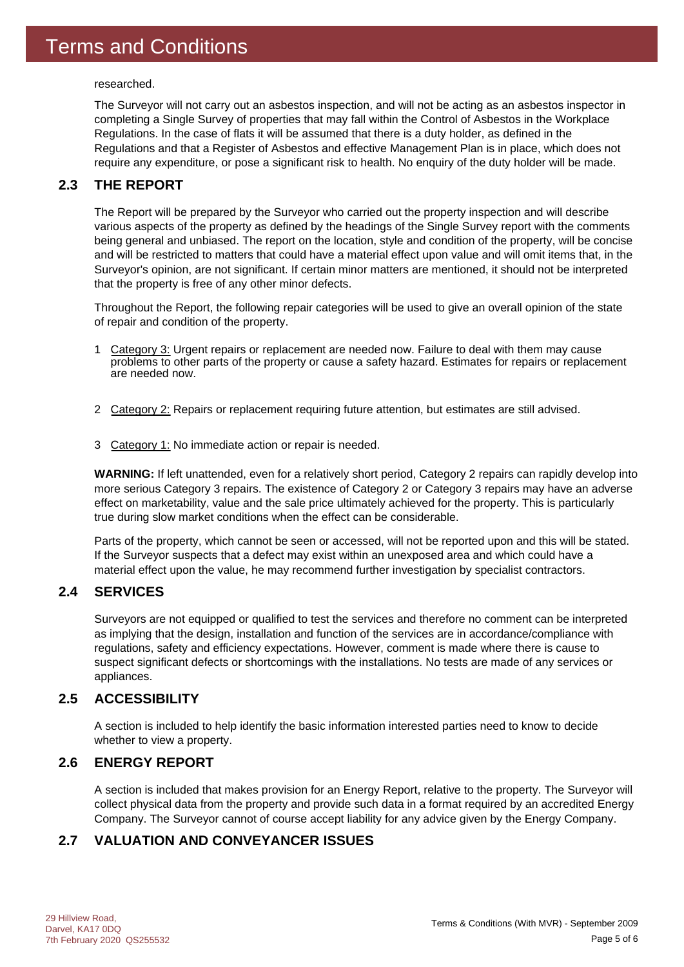researched.

The Surveyor will not carry out an asbestos inspection, and will not be acting as an asbestos inspector in completing a Single Survey of properties that may fall within the Control of Asbestos in the Workplace Regulations. In the case of flats it will be assumed that there is a duty holder, as defined in the Regulations and that a Register of Asbestos and effective Management Plan is in place, which does not require any expenditure, or pose a significant risk to health. No enquiry of the duty holder will be made.

### **2.3 THE REPORT**

The Report will be prepared by the Surveyor who carried out the property inspection and will describe various aspects of the property as defined by the headings of the Single Survey report with the comments being general and unbiased. The report on the location, style and condition of the property, will be concise and will be restricted to matters that could have a material effect upon value and will omit items that, in the Surveyor's opinion, are not significant. If certain minor matters are mentioned, it should not be interpreted that the property is free of any other minor defects.

Throughout the Report, the following repair categories will be used to give an overall opinion of the state of repair and condition of the property.

- 1 Category 3: Urgent repairs or replacement are needed now. Failure to deal with them may cause problems to other parts of the property or cause a safety hazard. Estimates for repairs or replacement are needed now.
- 2 Category 2: Repairs or replacement requiring future attention, but estimates are still advised.
- 3 Category 1: No immediate action or repair is needed.

**WARNING:** If left unattended, even for a relatively short period, Category 2 repairs can rapidly develop into more serious Category 3 repairs. The existence of Category 2 or Category 3 repairs may have an adverse effect on marketability, value and the sale price ultimately achieved for the property. This is particularly true during slow market conditions when the effect can be considerable.

Parts of the property, which cannot be seen or accessed, will not be reported upon and this will be stated. If the Surveyor suspects that a defect may exist within an unexposed area and which could have a material effect upon the value, he may recommend further investigation by specialist contractors.

### **2.4 SERVICES**

Surveyors are not equipped or qualified to test the services and therefore no comment can be interpreted as implying that the design, installation and function of the services are in accordance/compliance with regulations, safety and efficiency expectations. However, comment is made where there is cause to suspect significant defects or shortcomings with the installations. No tests are made of any services or appliances.

### **2.5 ACCESSIBILITY**

A section is included to help identify the basic information interested parties need to know to decide whether to view a property.

### **2.6 ENERGY REPORT**

A section is included that makes provision for an Energy Report, relative to the property. The Surveyor will collect physical data from the property and provide such data in a format required by an accredited Energy Company. The Surveyor cannot of course accept liability for any advice given by the Energy Company.

### **2.7 VALUATION AND CONVEYANCER ISSUES**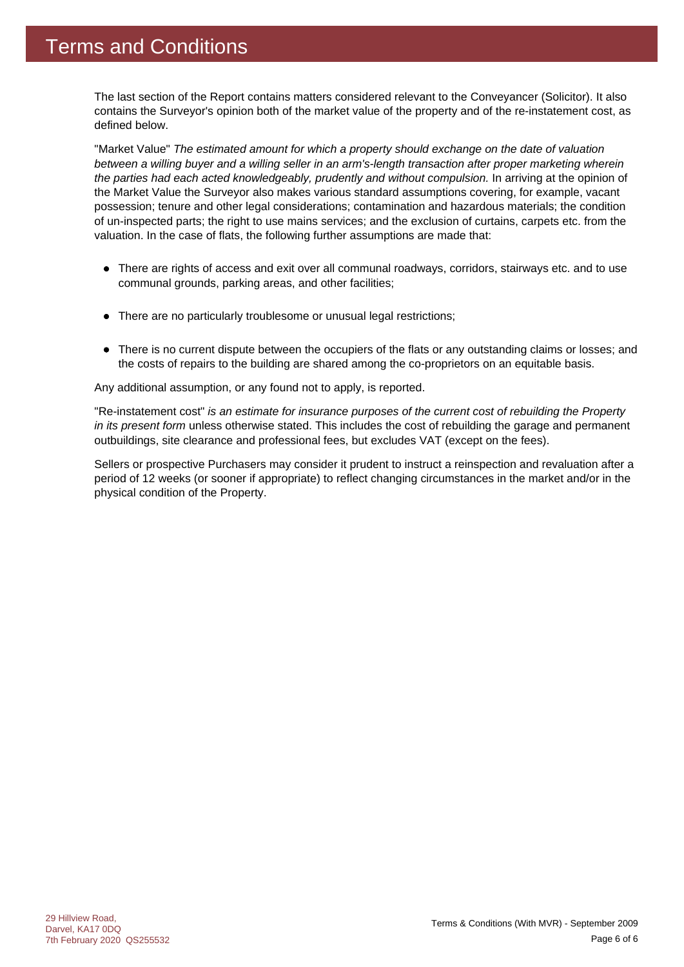The last section of the Report contains matters considered relevant to the Conveyancer (Solicitor). It also contains the Surveyor's opinion both of the market value of the property and of the re-instatement cost, as defined below.

"Market Value" *The estimated amount for which a property should exchange on the date of valuation between a willing buyer and a willing seller in an arm's-length transaction after proper marketing wherein the parties had each acted knowledgeably, prudently and without compulsion.* In arriving at the opinion of the Market Value the Surveyor also makes various standard assumptions covering, for example, vacant possession; tenure and other legal considerations; contamination and hazardous materials; the condition of un-inspected parts; the right to use mains services; and the exclusion of curtains, carpets etc. from the valuation. In the case of flats, the following further assumptions are made that:

- There are rights of access and exit over all communal roadways, corridors, stairways etc. and to use communal grounds, parking areas, and other facilities;
- There are no particularly troublesome or unusual legal restrictions;
- There is no current dispute between the occupiers of the flats or any outstanding claims or losses; and the costs of repairs to the building are shared among the co-proprietors on an equitable basis.

Any additional assumption, or any found not to apply, is reported.

"Re-instatement cost" *is an estimate for insurance purposes of the current cost of rebuilding the Property in its present form* unless otherwise stated. This includes the cost of rebuilding the garage and permanent outbuildings, site clearance and professional fees, but excludes VAT (except on the fees).

Sellers or prospective Purchasers may consider it prudent to instruct a reinspection and revaluation after a period of 12 weeks (or sooner if appropriate) to reflect changing circumstances in the market and/or in the physical condition of the Property.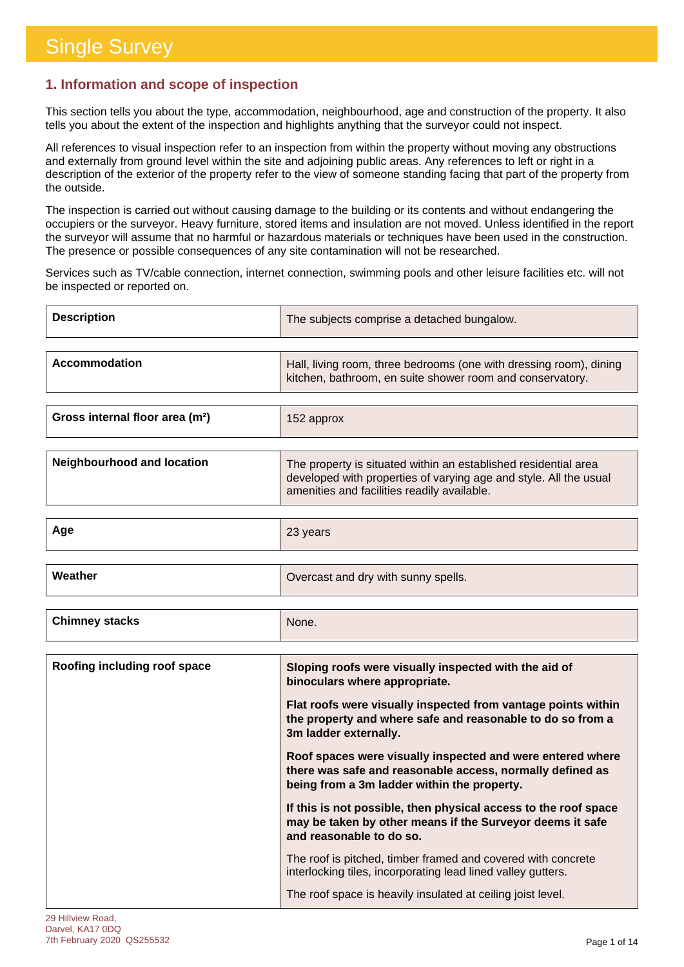### **1. Information and scope of inspection**

This section tells you about the type, accommodation, neighbourhood, age and construction of the property. It also tells you about the extent of the inspection and highlights anything that the surveyor could not inspect.

All references to visual inspection refer to an inspection from within the property without moving any obstructions and externally from ground level within the site and adjoining public areas. Any references to left or right in a description of the exterior of the property refer to the view of someone standing facing that part of the property from the outside.

The inspection is carried out without causing damage to the building or its contents and without endangering the occupiers or the surveyor. Heavy furniture, stored items and insulation are not moved. Unless identified in the report the surveyor will assume that no harmful or hazardous materials or techniques have been used in the construction. The presence or possible consequences of any site contamination will not be researched.

Services such as TV/cable connection, internet connection, swimming pools and other leisure facilities etc. will not be inspected or reported on.

| <b>Description</b>                          | The subjects comprise a detached bungalow.                                                                                                                                          |
|---------------------------------------------|-------------------------------------------------------------------------------------------------------------------------------------------------------------------------------------|
|                                             |                                                                                                                                                                                     |
| <b>Accommodation</b>                        | Hall, living room, three bedrooms (one with dressing room), dining<br>kitchen, bathroom, en suite shower room and conservatory.                                                     |
|                                             |                                                                                                                                                                                     |
| Gross internal floor area (m <sup>2</sup> ) | 152 approx                                                                                                                                                                          |
|                                             |                                                                                                                                                                                     |
| Neighbourhood and location                  | The property is situated within an established residential area<br>developed with properties of varying age and style. All the usual<br>amenities and facilities readily available. |
|                                             |                                                                                                                                                                                     |
| Aqe                                         | 23 vears                                                                                                                                                                            |

|         | - - - - -                           |
|---------|-------------------------------------|
|         |                                     |
| Weather | Overcast and dry with sunny spells. |
|         |                                     |
|         |                                     |

| <b>Chimney stacks</b> | None. |
|-----------------------|-------|
|                       |       |

| Roofing including roof space | Sloping roofs were visually inspected with the aid of<br>binoculars where appropriate.                                                                                 |
|------------------------------|------------------------------------------------------------------------------------------------------------------------------------------------------------------------|
|                              | Flat roofs were visually inspected from vantage points within<br>the property and where safe and reasonable to do so from a<br>3m ladder externally.                   |
|                              | Roof spaces were visually inspected and were entered where<br>there was safe and reasonable access, normally defined as<br>being from a 3m ladder within the property. |
|                              | If this is not possible, then physical access to the roof space<br>may be taken by other means if the Surveyor deems it safe<br>and reasonable to do so.               |
|                              | The roof is pitched, timber framed and covered with concrete<br>interlocking tiles, incorporating lead lined valley gutters.                                           |
|                              | The roof space is heavily insulated at ceiling joist level.                                                                                                            |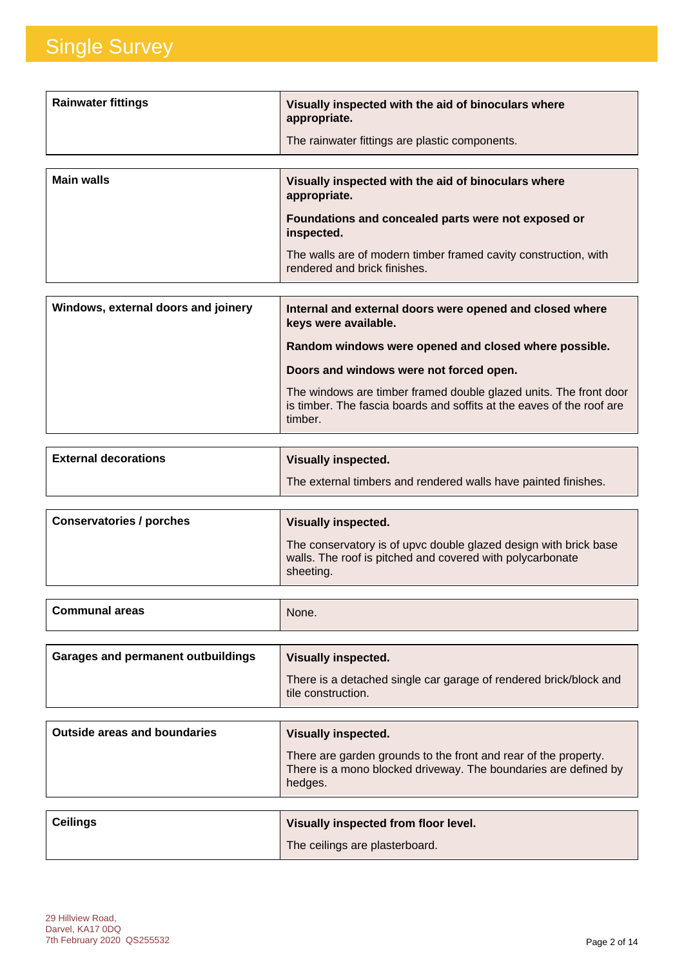| <b>Rainwater fittings</b> | Visually inspected with the aid of binoculars where<br>appropriate.<br>The rainwater fittings are plastic components.                                                                                                                       |
|---------------------------|---------------------------------------------------------------------------------------------------------------------------------------------------------------------------------------------------------------------------------------------|
| <b>Main walls</b>         | Visually inspected with the aid of binoculars where<br>appropriate.<br>Foundations and concealed parts were not exposed or<br>inspected.<br>The walls are of modern timber framed cavity construction, with<br>rendered and brick finishes. |

| Windows, external doors and joinery | Internal and external doors were opened and closed where<br>keys were available.                                                                      |
|-------------------------------------|-------------------------------------------------------------------------------------------------------------------------------------------------------|
|                                     | Random windows were opened and closed where possible.                                                                                                 |
|                                     | Doors and windows were not forced open.                                                                                                               |
|                                     | The windows are timber framed double glazed units. The front door<br>is timber. The fascia boards and soffits at the eaves of the roof are<br>timber. |

| <b>External decorations</b> | <b>Visually inspected.</b>                                     |
|-----------------------------|----------------------------------------------------------------|
|                             | The external timbers and rendered walls have painted finishes. |
|                             |                                                                |

| Conservatories / porches | <b>Visually inspected.</b>                                                                                                                 |
|--------------------------|--------------------------------------------------------------------------------------------------------------------------------------------|
|                          | The conservatory is of upvc double glazed design with brick base<br>walls. The roof is pitched and covered with polycarbonate<br>sheeting. |

| <b>Communal areas</b><br>None.<br>. |  |
|-------------------------------------|--|
|                                     |  |

| Garages and permanent outbuildings | <b>Visually inspected.</b>                                                              |
|------------------------------------|-----------------------------------------------------------------------------------------|
|                                    | There is a detached single car garage of rendered brick/block and<br>tile construction. |

| <b>Outside areas and boundaries</b> | Visually inspected.                                                                                                                           |
|-------------------------------------|-----------------------------------------------------------------------------------------------------------------------------------------------|
|                                     | There are garden grounds to the front and rear of the property.<br>There is a mono blocked driveway. The boundaries are defined by<br>hedges. |

| <b>Ceilings</b> | Visually inspected from floor level. |
|-----------------|--------------------------------------|
|                 | The ceilings are plasterboard.       |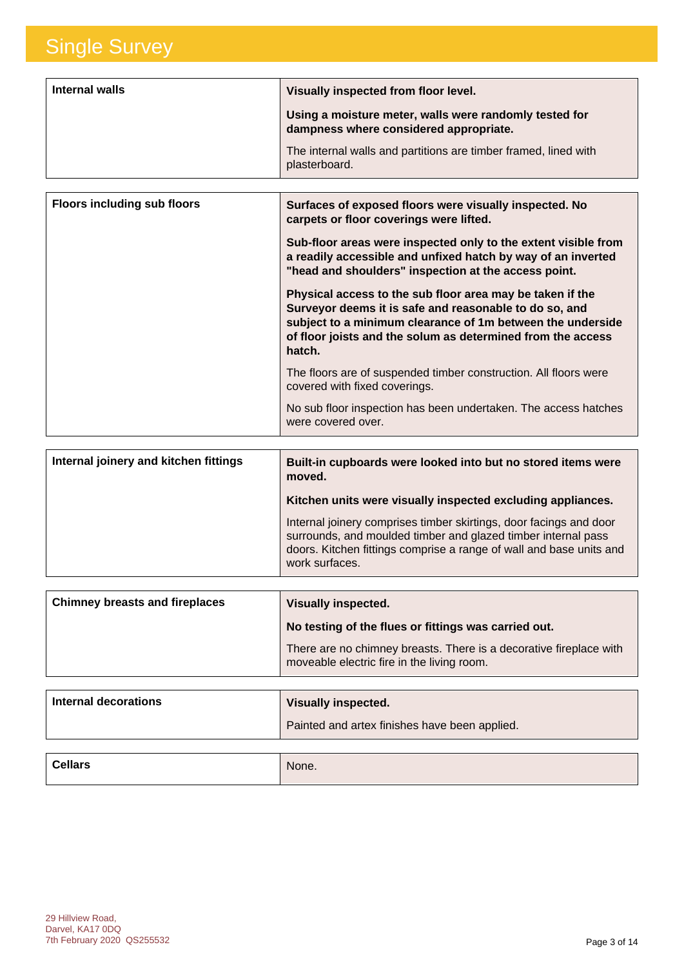| Internal walls | Visually inspected from floor level.                                                             |
|----------------|--------------------------------------------------------------------------------------------------|
|                | Using a moisture meter, walls were randomly tested for<br>dampness where considered appropriate. |
|                | The internal walls and partitions are timber framed, lined with<br>plasterboard.                 |

| <b>Floors including sub floors</b> | Surfaces of exposed floors were visually inspected. No<br>carpets or floor coverings were lifted.                                                                                                                                                          |
|------------------------------------|------------------------------------------------------------------------------------------------------------------------------------------------------------------------------------------------------------------------------------------------------------|
|                                    | Sub-floor areas were inspected only to the extent visible from<br>a readily accessible and unfixed hatch by way of an inverted<br>"head and shoulders" inspection at the access point.                                                                     |
|                                    | Physical access to the sub floor area may be taken if the<br>Surveyor deems it is safe and reasonable to do so, and<br>subject to a minimum clearance of 1m between the underside<br>of floor joists and the solum as determined from the access<br>hatch. |
|                                    | The floors are of suspended timber construction. All floors were<br>covered with fixed coverings.                                                                                                                                                          |
|                                    | No sub floor inspection has been undertaken. The access hatches<br>were covered over.                                                                                                                                                                      |

| Internal joinery and kitchen fittings | Built-in cupboards were looked into but no stored items were<br>moved.                                                                                                                                                       |
|---------------------------------------|------------------------------------------------------------------------------------------------------------------------------------------------------------------------------------------------------------------------------|
|                                       | Kitchen units were visually inspected excluding appliances.                                                                                                                                                                  |
|                                       | Internal joinery comprises timber skirtings, door facings and door<br>surrounds, and moulded timber and glazed timber internal pass<br>doors. Kitchen fittings comprise a range of wall and base units and<br>work surfaces. |

| <b>Chimney breasts and fireplaces</b> | <b>Visually inspected.</b>                                                                                       |
|---------------------------------------|------------------------------------------------------------------------------------------------------------------|
|                                       | No testing of the flues or fittings was carried out.                                                             |
|                                       | There are no chimney breasts. There is a decorative fireplace with<br>moveable electric fire in the living room. |

| Visually inspected.                           |
|-----------------------------------------------|
| Painted and artex finishes have been applied. |
|                                               |
|                                               |

| <b>Cellars</b> | None. |
|----------------|-------|
|                |       |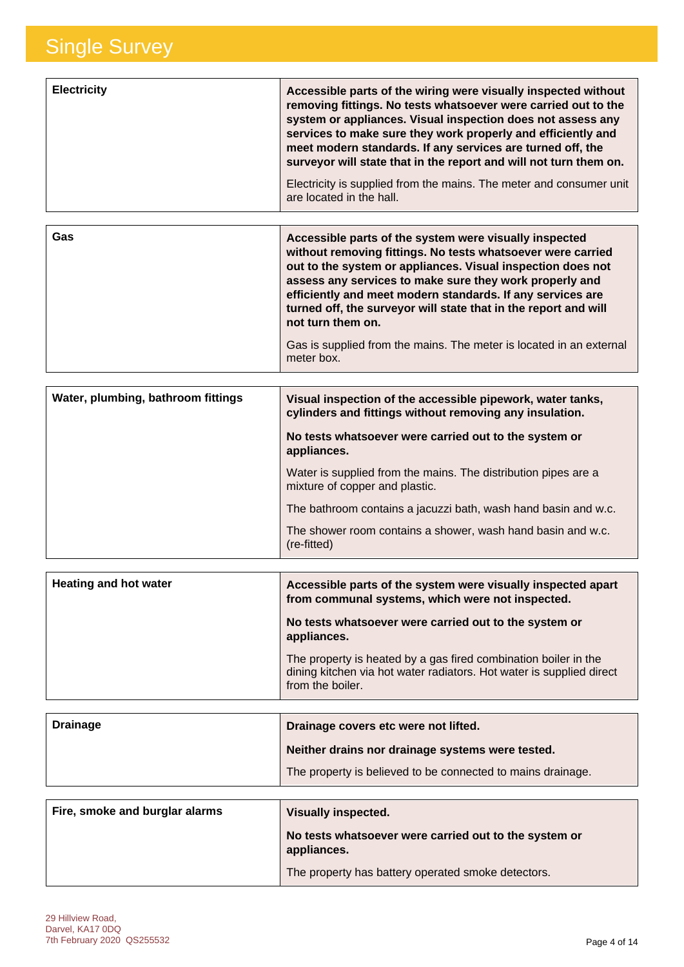| <b>Electricity</b> | Accessible parts of the wiring were visually inspected without<br>removing fittings. No tests whatsoever were carried out to the<br>system or appliances. Visual inspection does not assess any<br>services to make sure they work properly and efficiently and<br>meet modern standards. If any services are turned off, the<br>surveyor will state that in the report and will not turn them on. |
|--------------------|----------------------------------------------------------------------------------------------------------------------------------------------------------------------------------------------------------------------------------------------------------------------------------------------------------------------------------------------------------------------------------------------------|
|                    | Electricity is supplied from the mains. The meter and consumer unit<br>are located in the hall.                                                                                                                                                                                                                                                                                                    |
|                    |                                                                                                                                                                                                                                                                                                                                                                                                    |

| Gas | Accessible parts of the system were visually inspected<br>without removing fittings. No tests whatsoever were carried<br>out to the system or appliances. Visual inspection does not<br>assess any services to make sure they work properly and<br>efficiently and meet modern standards. If any services are<br>turned off, the surveyor will state that in the report and will<br>not turn them on.<br>Gas is supplied from the mains. The meter is located in an external<br>meter box. |
|-----|--------------------------------------------------------------------------------------------------------------------------------------------------------------------------------------------------------------------------------------------------------------------------------------------------------------------------------------------------------------------------------------------------------------------------------------------------------------------------------------------|
|-----|--------------------------------------------------------------------------------------------------------------------------------------------------------------------------------------------------------------------------------------------------------------------------------------------------------------------------------------------------------------------------------------------------------------------------------------------------------------------------------------------|

| Water, plumbing, bathroom fittings | Visual inspection of the accessible pipework, water tanks,<br>cylinders and fittings without removing any insulation. |
|------------------------------------|-----------------------------------------------------------------------------------------------------------------------|
|                                    | No tests whatsoever were carried out to the system or<br>appliances.                                                  |
|                                    | Water is supplied from the mains. The distribution pipes are a<br>mixture of copper and plastic.                      |
|                                    | The bathroom contains a jacuzzi bath, wash hand basin and w.c.                                                        |
|                                    | The shower room contains a shower, wash hand basin and w.c.<br>(re-fitted)                                            |

| Heating and hot water | Accessible parts of the system were visually inspected apart<br>from communal systems, which were not inspected.                                            |
|-----------------------|-------------------------------------------------------------------------------------------------------------------------------------------------------------|
|                       | No tests whatsoever were carried out to the system or<br>appliances.                                                                                        |
|                       | The property is heated by a gas fired combination boiler in the<br>dining kitchen via hot water radiators. Hot water is supplied direct<br>from the boiler. |

| <b>Drainage</b> | Drainage covers etc were not lifted.                        |
|-----------------|-------------------------------------------------------------|
|                 | Neither drains nor drainage systems were tested.            |
|                 | The property is believed to be connected to mains drainage. |

| Fire, smoke and burglar alarms | <b>Visually inspected.</b>                                           |
|--------------------------------|----------------------------------------------------------------------|
|                                | No tests whatsoever were carried out to the system or<br>appliances. |
|                                | The property has battery operated smoke detectors.                   |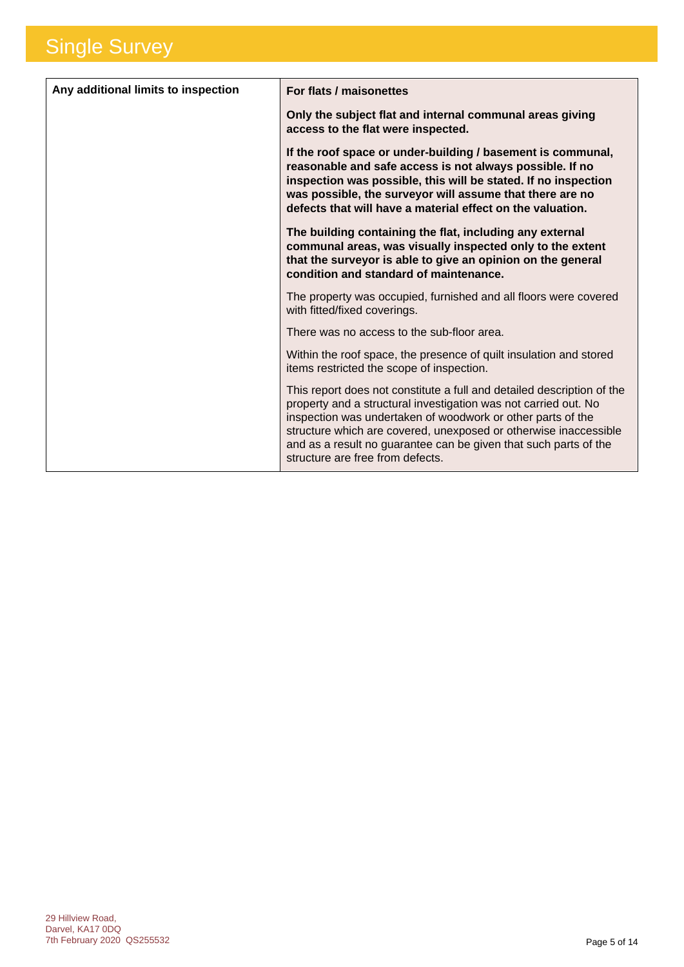| Any additional limits to inspection | For flats / maisonettes                                                                                                                                                                                                                                                                                                                                                              |
|-------------------------------------|--------------------------------------------------------------------------------------------------------------------------------------------------------------------------------------------------------------------------------------------------------------------------------------------------------------------------------------------------------------------------------------|
|                                     | Only the subject flat and internal communal areas giving<br>access to the flat were inspected.                                                                                                                                                                                                                                                                                       |
|                                     | If the roof space or under-building / basement is communal,<br>reasonable and safe access is not always possible. If no<br>inspection was possible, this will be stated. If no inspection<br>was possible, the surveyor will assume that there are no<br>defects that will have a material effect on the valuation.                                                                  |
|                                     | The building containing the flat, including any external<br>communal areas, was visually inspected only to the extent<br>that the surveyor is able to give an opinion on the general<br>condition and standard of maintenance.                                                                                                                                                       |
|                                     | The property was occupied, furnished and all floors were covered<br>with fitted/fixed coverings.                                                                                                                                                                                                                                                                                     |
|                                     | There was no access to the sub-floor area.                                                                                                                                                                                                                                                                                                                                           |
|                                     | Within the roof space, the presence of quilt insulation and stored<br>items restricted the scope of inspection.                                                                                                                                                                                                                                                                      |
|                                     | This report does not constitute a full and detailed description of the<br>property and a structural investigation was not carried out. No<br>inspection was undertaken of woodwork or other parts of the<br>structure which are covered, unexposed or otherwise inaccessible<br>and as a result no guarantee can be given that such parts of the<br>structure are free from defects. |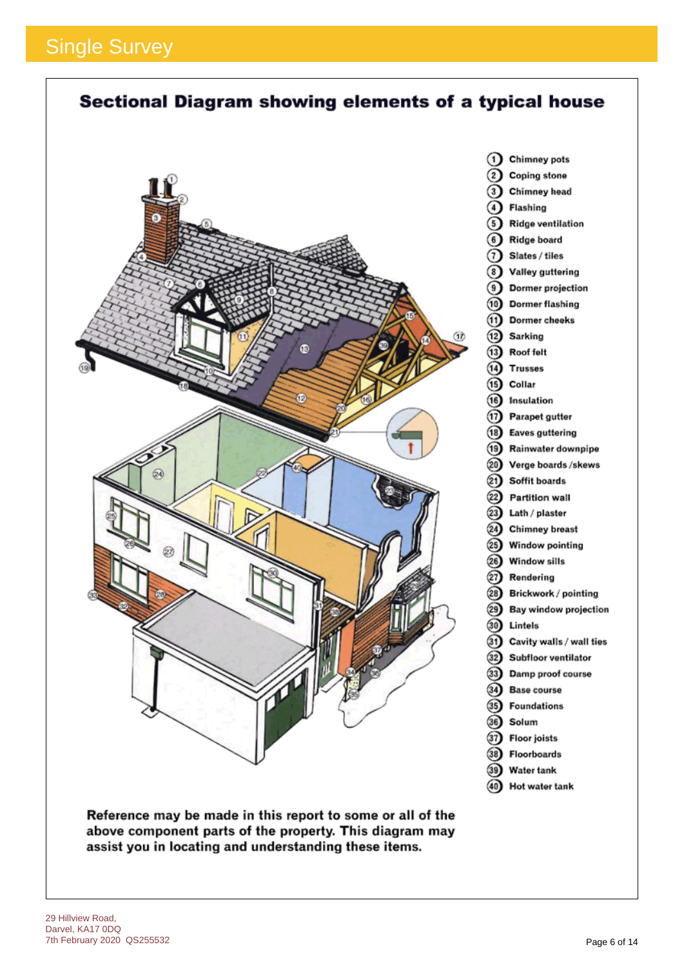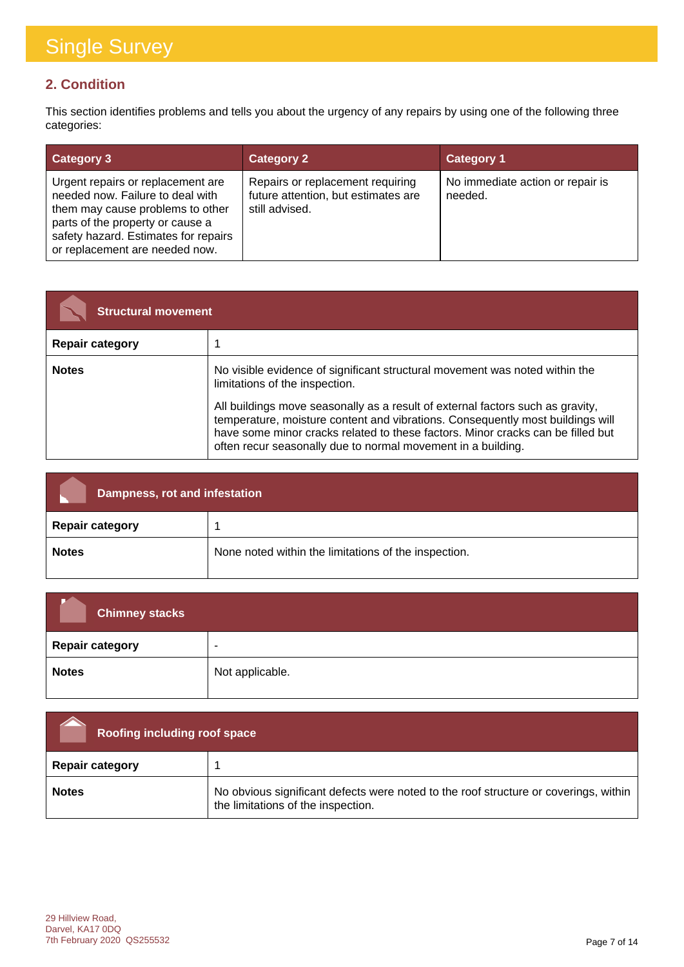### **2. Condition**

This section identifies problems and tells you about the urgency of any repairs by using one of the following three categories:

| <b>Category 3</b>                                                                                                                                                                                                       | <b>Category 2</b>                                                                         | <b>Category 1</b>                           |
|-------------------------------------------------------------------------------------------------------------------------------------------------------------------------------------------------------------------------|-------------------------------------------------------------------------------------------|---------------------------------------------|
| Urgent repairs or replacement are<br>needed now. Failure to deal with<br>them may cause problems to other<br>parts of the property or cause a<br>safety hazard. Estimates for repairs<br>or replacement are needed now. | Repairs or replacement requiring<br>future attention, but estimates are<br>still advised. | No immediate action or repair is<br>needed. |

| <b>Structural movement</b> |                                                                                                                                                                                                                                                                                                                                                                                                                                      |
|----------------------------|--------------------------------------------------------------------------------------------------------------------------------------------------------------------------------------------------------------------------------------------------------------------------------------------------------------------------------------------------------------------------------------------------------------------------------------|
| <b>Repair category</b>     |                                                                                                                                                                                                                                                                                                                                                                                                                                      |
| <b>Notes</b>               | No visible evidence of significant structural movement was noted within the<br>limitations of the inspection.<br>All buildings move seasonally as a result of external factors such as gravity,<br>temperature, moisture content and vibrations. Consequently most buildings will<br>have some minor cracks related to these factors. Minor cracks can be filled but<br>often recur seasonally due to normal movement in a building. |

| Dampness, rot and infestation |                                                      |
|-------------------------------|------------------------------------------------------|
| <b>Repair category</b>        |                                                      |
| <b>Notes</b>                  | None noted within the limitations of the inspection. |

| <b>Chimney stacks</b>  |                          |
|------------------------|--------------------------|
| <b>Repair category</b> | $\overline{\phantom{a}}$ |
| <b>Notes</b>           | Not applicable.          |

| Roofing including roof space |                                                                                                                            |
|------------------------------|----------------------------------------------------------------------------------------------------------------------------|
| <b>Repair category</b>       |                                                                                                                            |
| <b>Notes</b>                 | No obvious significant defects were noted to the roof structure or coverings, within<br>the limitations of the inspection. |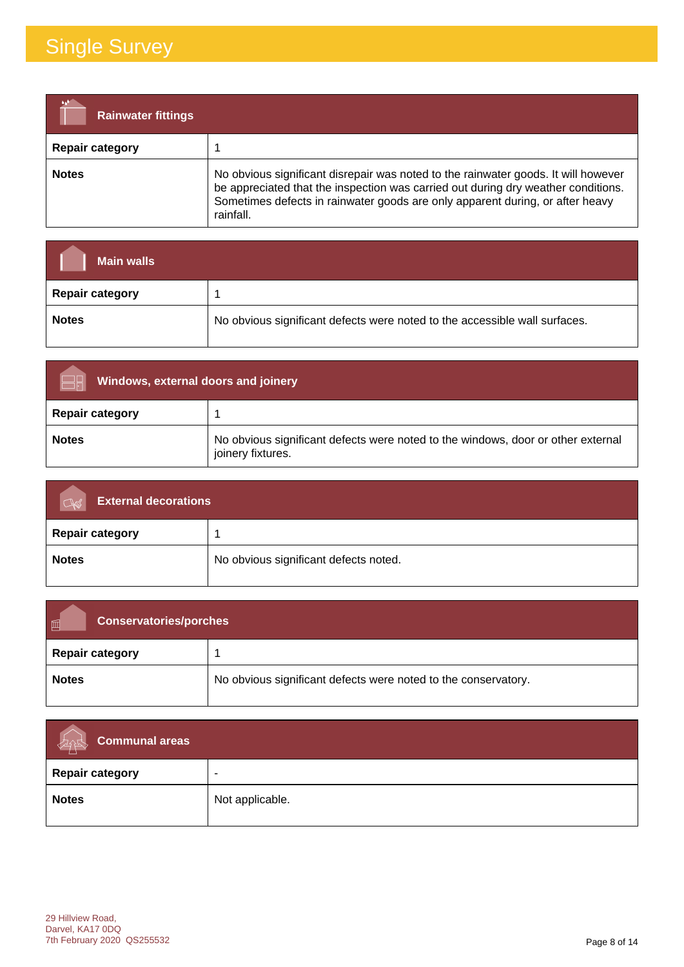| <b>Rainwater fittings</b> |                                                                                                                                                                                                                                                                       |
|---------------------------|-----------------------------------------------------------------------------------------------------------------------------------------------------------------------------------------------------------------------------------------------------------------------|
| <b>Repair category</b>    |                                                                                                                                                                                                                                                                       |
| <b>Notes</b>              | No obvious significant disrepair was noted to the rainwater goods. It will however<br>be appreciated that the inspection was carried out during dry weather conditions.<br>Sometimes defects in rainwater goods are only apparent during, or after heavy<br>rainfall. |

| <b>Main walls</b>      |                                                                            |
|------------------------|----------------------------------------------------------------------------|
| <b>Repair category</b> |                                                                            |
| <b>Notes</b>           | No obvious significant defects were noted to the accessible wall surfaces. |

| Windows, external doors and joinery |                                                                                                       |
|-------------------------------------|-------------------------------------------------------------------------------------------------------|
| <b>Repair category</b>              |                                                                                                       |
| <b>Notes</b>                        | No obvious significant defects were noted to the windows, door or other external<br>joinery fixtures. |

| <b>External decorations</b><br>$\bigcap_{\mathbb{R}}$ |                                       |
|-------------------------------------------------------|---------------------------------------|
| <b>Repair category</b>                                |                                       |
| <b>Notes</b>                                          | No obvious significant defects noted. |

| 同<br><b>Conservatories/porches</b> |                                                                |
|------------------------------------|----------------------------------------------------------------|
| <b>Repair category</b>             |                                                                |
| <b>Notes</b>                       | No obvious significant defects were noted to the conservatory. |

| $\sim$ Communal areas<br>depty |                 |
|--------------------------------|-----------------|
| <b>Repair category</b>         |                 |
| <b>Notes</b>                   | Not applicable. |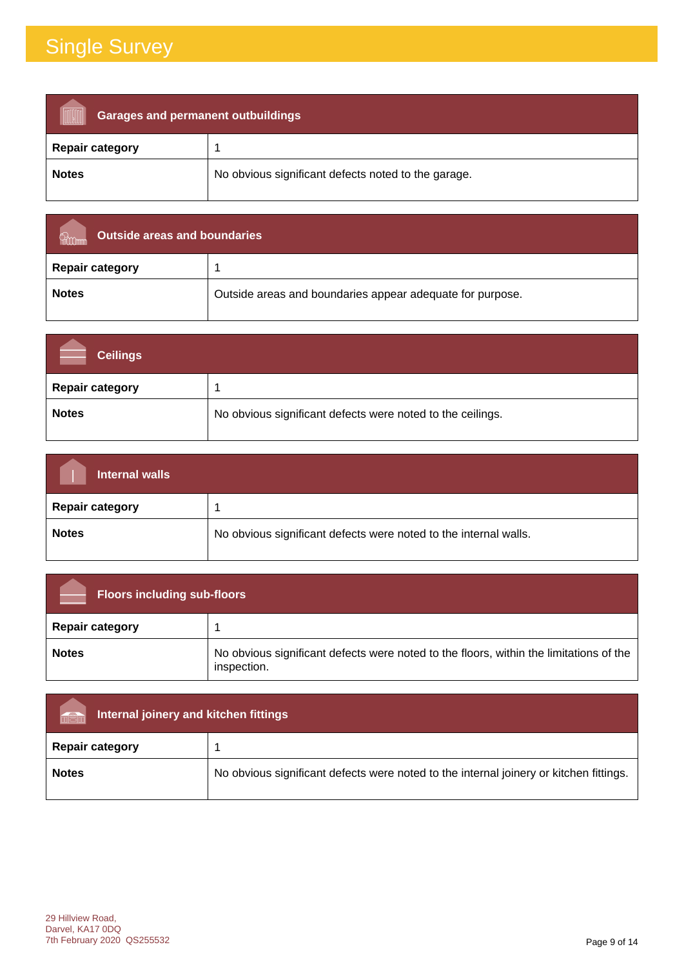| <b>Garages and permanent outbuildings</b> |                                                     |
|-------------------------------------------|-----------------------------------------------------|
| <b>Repair category</b>                    |                                                     |
| <b>Notes</b>                              | No obvious significant defects noted to the garage. |

| Outside areas and boundaries |                                                           |
|------------------------------|-----------------------------------------------------------|
| <b>Repair category</b>       |                                                           |
| <b>Notes</b>                 | Outside areas and boundaries appear adequate for purpose. |

| <b>Ceilings</b>        |                                                            |
|------------------------|------------------------------------------------------------|
| <b>Repair category</b> |                                                            |
| <b>Notes</b>           | No obvious significant defects were noted to the ceilings. |

| Internal walls         |                                                                  |
|------------------------|------------------------------------------------------------------|
| <b>Repair category</b> |                                                                  |
| <b>Notes</b>           | No obvious significant defects were noted to the internal walls. |

| <b>Floors including sub-floors</b> |                                                                                                       |
|------------------------------------|-------------------------------------------------------------------------------------------------------|
| <b>Repair category</b>             |                                                                                                       |
| <b>Notes</b>                       | No obvious significant defects were noted to the floors, within the limitations of the<br>inspection. |

| Internal joinery and kitchen fittings<br><b>Information</b> |                                                                                        |
|-------------------------------------------------------------|----------------------------------------------------------------------------------------|
| <b>Repair category</b>                                      |                                                                                        |
| <b>Notes</b>                                                | No obvious significant defects were noted to the internal joinery or kitchen fittings. |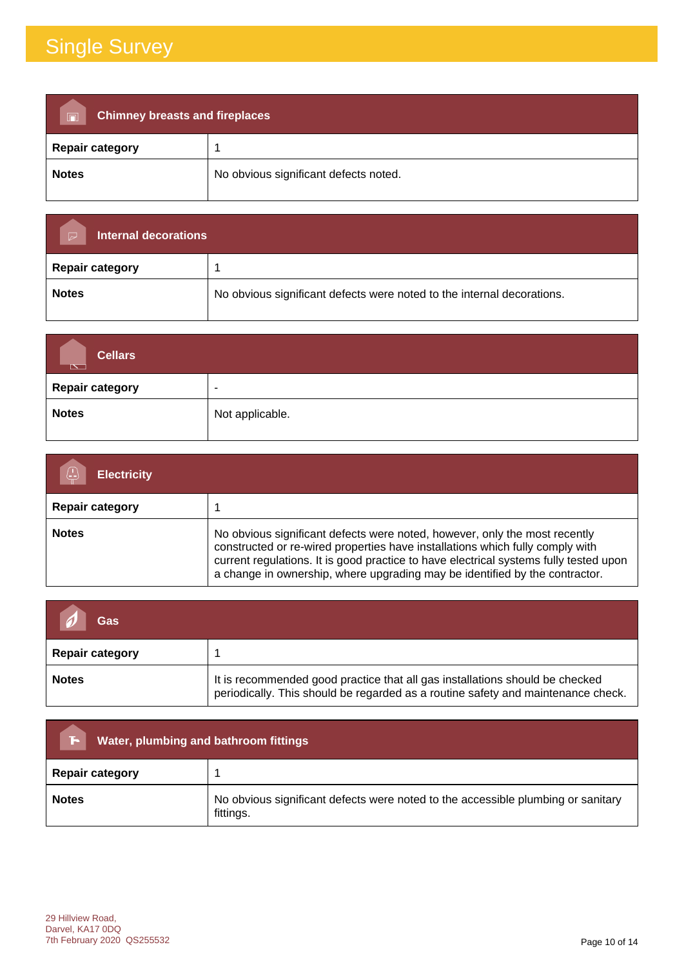| <b>Chimney breasts and fireplaces</b><br>$\blacksquare$ |                                       |
|---------------------------------------------------------|---------------------------------------|
| <b>Repair category</b>                                  |                                       |
| <b>Notes</b>                                            | No obvious significant defects noted. |

| Internal decorations<br>$\triangleright$ |                                                                        |  |
|------------------------------------------|------------------------------------------------------------------------|--|
| <b>Repair category</b>                   |                                                                        |  |
| <b>Notes</b>                             | No obvious significant defects were noted to the internal decorations. |  |

| <b>Cellars</b><br>$\mathbb{R}^n$ |                          |
|----------------------------------|--------------------------|
| <b>Repair category</b>           | $\overline{\phantom{a}}$ |
| <b>Notes</b>                     | Not applicable.          |

| <b>Electricity</b>     |                                                                                                                                                                                                                                                                                                                                     |
|------------------------|-------------------------------------------------------------------------------------------------------------------------------------------------------------------------------------------------------------------------------------------------------------------------------------------------------------------------------------|
| <b>Repair category</b> |                                                                                                                                                                                                                                                                                                                                     |
| <b>Notes</b>           | No obvious significant defects were noted, however, only the most recently<br>constructed or re-wired properties have installations which fully comply with<br>current regulations. It is good practice to have electrical systems fully tested upon<br>a change in ownership, where upgrading may be identified by the contractor. |

| Gas                    |                                                                                                                                                                  |
|------------------------|------------------------------------------------------------------------------------------------------------------------------------------------------------------|
| <b>Repair category</b> |                                                                                                                                                                  |
| <b>Notes</b>           | It is recommended good practice that all gas installations should be checked<br>periodically. This should be regarded as a routine safety and maintenance check. |

| Water, plumbing and bathroom fittings<br>F. |                                                                                               |  |
|---------------------------------------------|-----------------------------------------------------------------------------------------------|--|
| <b>Repair category</b>                      |                                                                                               |  |
| <b>Notes</b>                                | No obvious significant defects were noted to the accessible plumbing or sanitary<br>fittings. |  |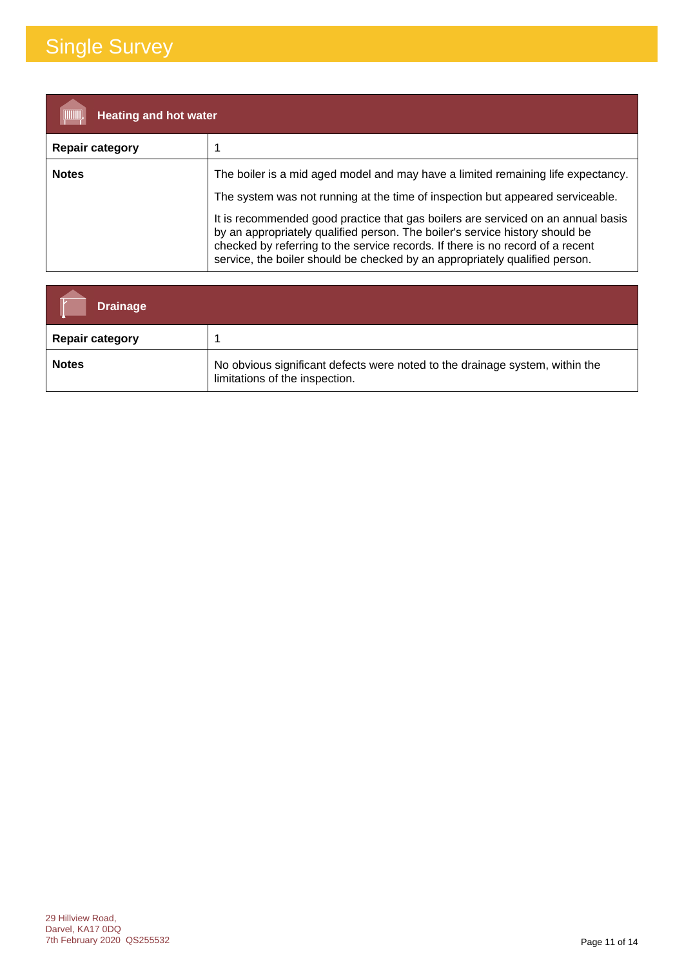| <b>Heating and hot water</b> |                                                                                                                                                                                                                                                                                                                                   |
|------------------------------|-----------------------------------------------------------------------------------------------------------------------------------------------------------------------------------------------------------------------------------------------------------------------------------------------------------------------------------|
| <b>Repair category</b>       |                                                                                                                                                                                                                                                                                                                                   |
| <b>Notes</b>                 | The boiler is a mid aged model and may have a limited remaining life expectancy.                                                                                                                                                                                                                                                  |
|                              | The system was not running at the time of inspection but appeared serviceable.                                                                                                                                                                                                                                                    |
|                              | It is recommended good practice that gas boilers are serviced on an annual basis<br>by an appropriately qualified person. The boiler's service history should be<br>checked by referring to the service records. If there is no record of a recent<br>service, the boiler should be checked by an appropriately qualified person. |

| <b>Drainage</b>        |                                                                                                                |
|------------------------|----------------------------------------------------------------------------------------------------------------|
| <b>Repair category</b> |                                                                                                                |
| <b>Notes</b>           | No obvious significant defects were noted to the drainage system, within the<br>limitations of the inspection. |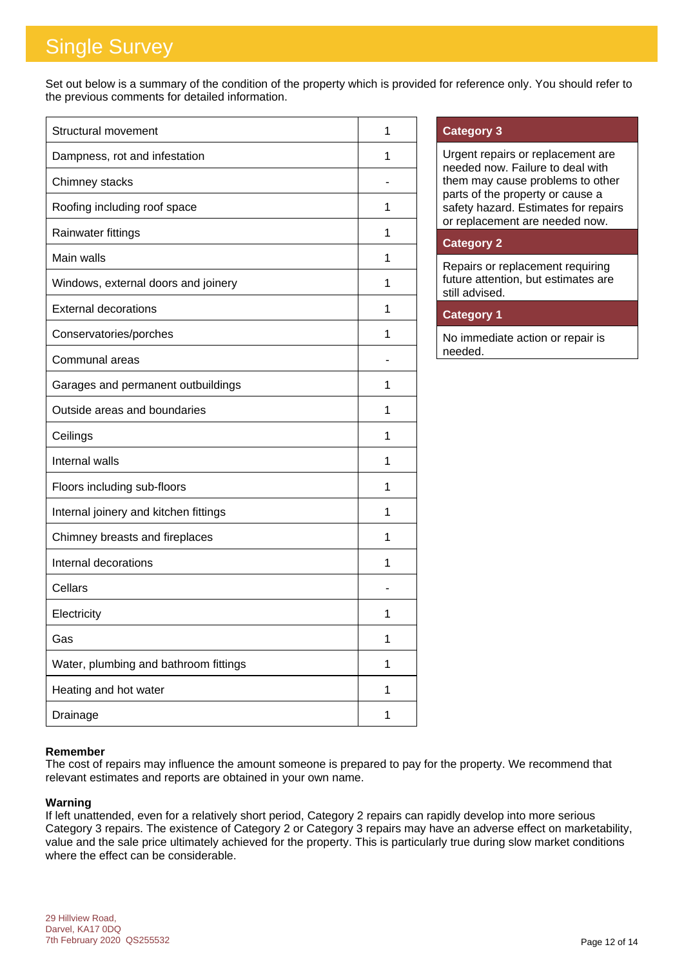Set out below is a summary of the condition of the property which is provided for reference only. You should refer to the previous comments for detailed information.

| <b>Structural movement</b>            | 1 |
|---------------------------------------|---|
| Dampness, rot and infestation         | 1 |
| Chimney stacks                        |   |
| Roofing including roof space          | 1 |
| Rainwater fittings                    | 1 |
| Main walls                            | 1 |
| Windows, external doors and joinery   | 1 |
| <b>External decorations</b>           | 1 |
| Conservatories/porches                | 1 |
| Communal areas                        |   |
| Garages and permanent outbuildings    | 1 |
| Outside areas and boundaries          | 1 |
| Ceilings                              | 1 |
| Internal walls                        | 1 |
| Floors including sub-floors           | 1 |
| Internal joinery and kitchen fittings | 1 |
| Chimney breasts and fireplaces        | 1 |
| Internal decorations                  | 1 |
| Cellars                               |   |
| Electricity                           | 1 |
| Gas                                   | 1 |
| Water, plumbing and bathroom fittings | 1 |
| Heating and hot water                 | 1 |
| Drainage                              | 1 |

### **Category 3**

Urgent repairs or replacement are needed now. Failure to deal with them may cause problems to other parts of the property or cause a safety hazard. Estimates for repairs or replacement are needed now.

### **Category 2**

Repairs or replacement requiring future attention, but estimates are still advised.

### **Category 1**

No immediate action or repair is needed.

### **Remember**

The cost of repairs may influence the amount someone is prepared to pay for the property. We recommend that relevant estimates and reports are obtained in your own name.

### **Warning**

If left unattended, even for a relatively short period, Category 2 repairs can rapidly develop into more serious Category 3 repairs. The existence of Category 2 or Category 3 repairs may have an adverse effect on marketability, value and the sale price ultimately achieved for the property. This is particularly true during slow market conditions where the effect can be considerable.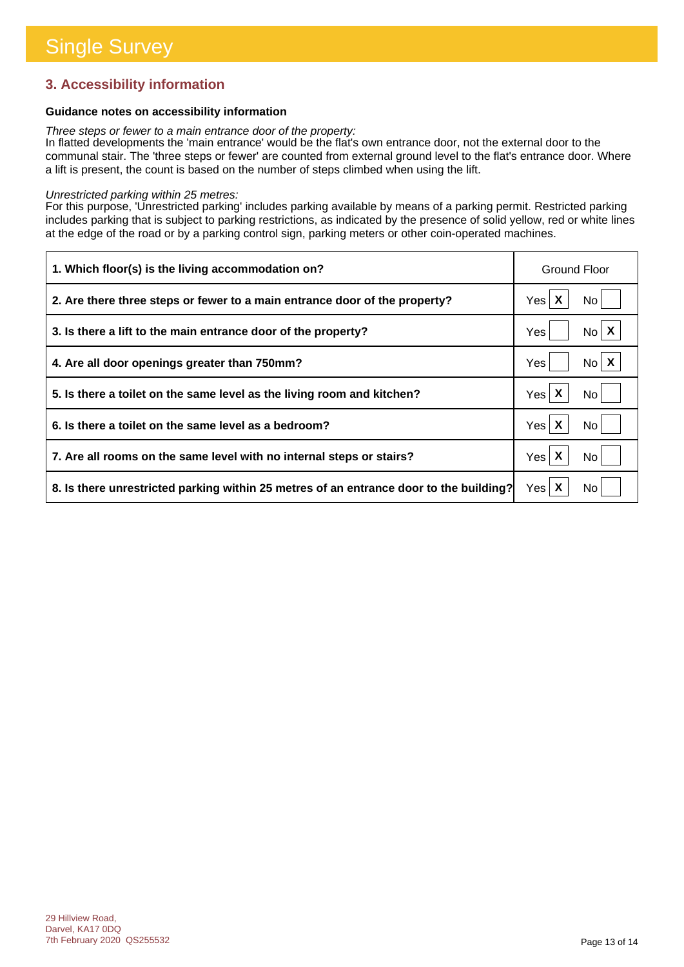### **3. Accessibility information**

### **Guidance notes on accessibility information**

*Three steps or fewer to a main entrance door of the property:*

In flatted developments the 'main entrance' would be the flat's own entrance door, not the external door to the communal stair. The 'three steps or fewer' are counted from external ground level to the flat's entrance door. Where a lift is present, the count is based on the number of steps climbed when using the lift.

#### *Unrestricted parking within 25 metres:*

For this purpose, 'Unrestricted parking' includes parking available by means of a parking permit. Restricted parking includes parking that is subject to parking restrictions, as indicated by the presence of solid yellow, red or white lines at the edge of the road or by a parking control sign, parking meters or other coin-operated machines.

| 1. Which floor(s) is the living accommodation on?                                      | Ground Floor             |
|----------------------------------------------------------------------------------------|--------------------------|
| 2. Are there three steps or fewer to a main entrance door of the property?             | Yes $\mathsf{X}$<br>No l |
| 3. Is there a lift to the main entrance door of the property?                          | $No \mid X$<br>Yes       |
| 4. Are all door openings greater than 750mm?                                           | $N_0$ $X$<br>Yes         |
| 5. Is there a toilet on the same level as the living room and kitchen?                 | Yes $\mathsf{X}$<br>No l |
| 6. Is there a toilet on the same level as a bedroom?                                   | Yes X<br>No.             |
| 7. Are all rooms on the same level with no internal steps or stairs?                   | Yes $\mathsf{X}$<br>No.  |
| 8. Is there unrestricted parking within 25 metres of an entrance door to the building? | Yes $\mathsf{X}$<br>No l |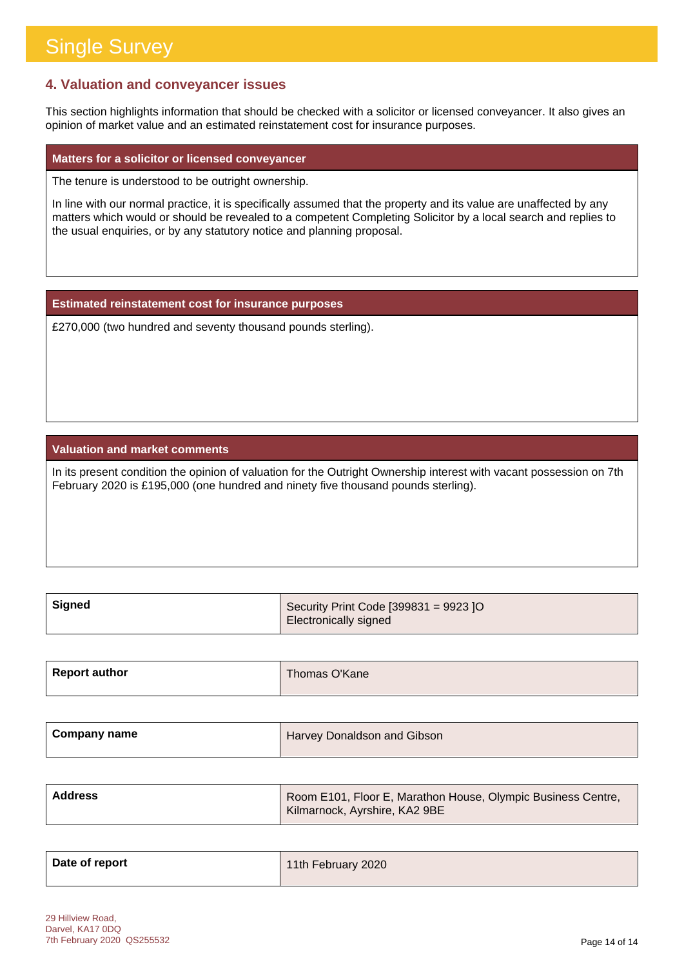### **4. Valuation and conveyancer issues**

This section highlights information that should be checked with a solicitor or licensed conveyancer. It also gives an opinion of market value and an estimated reinstatement cost for insurance purposes.

#### **Matters for a solicitor or licensed conveyancer**

The tenure is understood to be outright ownership.

In line with our normal practice, it is specifically assumed that the property and its value are unaffected by any matters which would or should be revealed to a competent Completing Solicitor by a local search and replies to the usual enquiries, or by any statutory notice and planning proposal.

**Estimated reinstatement cost for insurance purposes**

£270,000 (two hundred and seventy thousand pounds sterling).

### **Valuation and market comments**

In its present condition the opinion of valuation for the Outright Ownership interest with vacant possession on 7th February 2020 is £195,000 (one hundred and ninety five thousand pounds sterling).

| Signed | Security Print Code $[399831 = 9923]$ O |
|--------|-----------------------------------------|
|        | Electronically signed                   |

| <b>Report author</b> | Thomas O'Kane |
|----------------------|---------------|
|                      |               |

| <b>Company name</b> | Harvey Donaldson and Gibson |
|---------------------|-----------------------------|
|                     |                             |

| Address | Room E101, Floor E, Marathon House, Olympic Business Centre,<br>Kilmarnock, Ayrshire, KA2 9BE |
|---------|-----------------------------------------------------------------------------------------------|
|         |                                                                                               |

| Date of report | 11th February 2020 |
|----------------|--------------------|
|                |                    |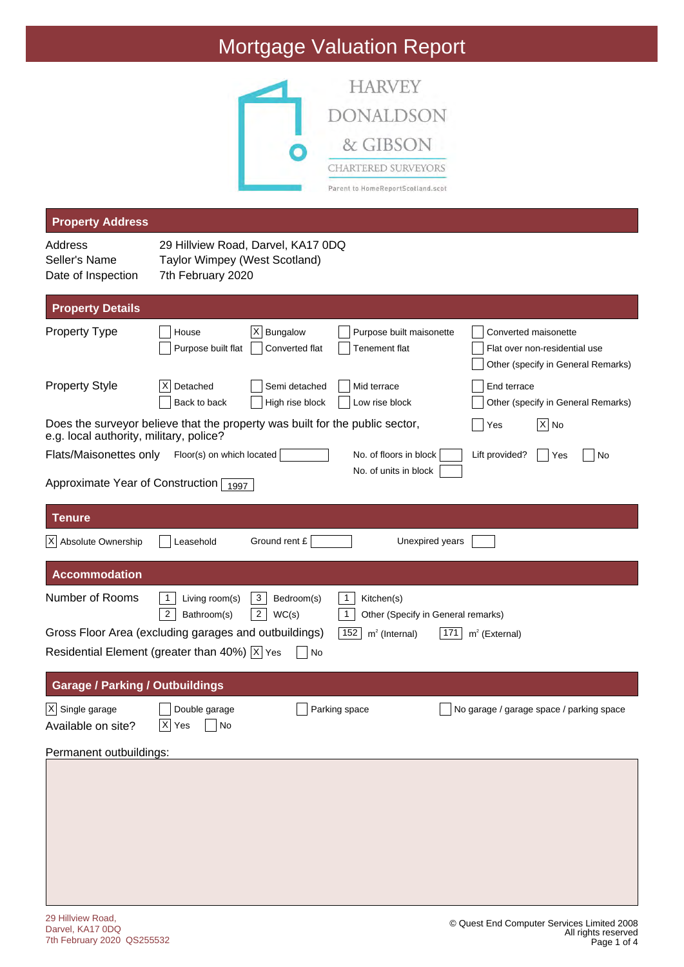# Mortgage Valuation Report



| <b>Property Address</b>                                                                                                 |                                                    |                                            |                                                                       |                                                                                             |
|-------------------------------------------------------------------------------------------------------------------------|----------------------------------------------------|--------------------------------------------|-----------------------------------------------------------------------|---------------------------------------------------------------------------------------------|
| Address                                                                                                                 | 29 Hillview Road, Darvel, KA17 0DQ                 |                                            |                                                                       |                                                                                             |
| Seller's Name<br>Date of Inspection                                                                                     | Taylor Wimpey (West Scotland)<br>7th February 2020 |                                            |                                                                       |                                                                                             |
|                                                                                                                         |                                                    |                                            |                                                                       |                                                                                             |
| <b>Property Details</b>                                                                                                 |                                                    |                                            |                                                                       |                                                                                             |
| <b>Property Type</b>                                                                                                    | House<br>Purpose built flat                        | $ X $ Bungalow<br>Converted flat           | Purpose built maisonette<br>Tenement flat                             | Converted maisonette<br>Flat over non-residential use<br>Other (specify in General Remarks) |
| <b>Property Style</b>                                                                                                   | Detached<br>X<br>Back to back                      | Semi detached<br>High rise block           | Mid terrace<br>Low rise block                                         | End terrace<br>Other (specify in General Remarks)                                           |
| Does the surveyor believe that the property was built for the public sector,<br>e.g. local authority, military, police? |                                                    |                                            |                                                                       | $ X $ No<br>Yes                                                                             |
| Flats/Maisonettes only                                                                                                  | Floor(s) on which located                          |                                            | No. of floors in block                                                | Lift provided?<br>Yes<br>No                                                                 |
| Approximate Year of Construction $\frac{1997}{1997}$                                                                    |                                                    |                                            | No. of units in block                                                 |                                                                                             |
|                                                                                                                         |                                                    |                                            |                                                                       |                                                                                             |
| Tenure                                                                                                                  |                                                    |                                            |                                                                       |                                                                                             |
| X Absolute Ownership                                                                                                    | Leasehold                                          | Ground rent £                              | Unexpired years                                                       |                                                                                             |
| <b>Accommodation</b>                                                                                                    |                                                    |                                            |                                                                       |                                                                                             |
| Number of Rooms                                                                                                         | 1<br>Living room(s)<br>2<br>Bathroom(s)            | 3<br>Bedroom(s)<br>$\overline{2}$<br>WC(s) | 1<br>Kitchen(s)<br>$\mathbf{1}$<br>Other (Specify in General remarks) |                                                                                             |
| Gross Floor Area (excluding garages and outbuildings)                                                                   |                                                    |                                            | 152<br>$m2$ (Internal)<br>171                                         | $m2$ (External)                                                                             |
| Residential Element (greater than 40%) $ \overline{x} $ Yes                                                             |                                                    | No                                         |                                                                       |                                                                                             |
| <b>Garage / Parking / Outbuildings</b>                                                                                  |                                                    |                                            |                                                                       |                                                                                             |
| $\overline{X}$ Single garage<br>Available on site?                                                                      | Double garage<br>$\overline{X}$ Yes<br>$\Box$ No   | Parking space                              |                                                                       | No garage / garage space / parking space                                                    |
| Permanent outbuildings:                                                                                                 |                                                    |                                            |                                                                       |                                                                                             |
|                                                                                                                         |                                                    |                                            |                                                                       |                                                                                             |
|                                                                                                                         |                                                    |                                            |                                                                       |                                                                                             |
|                                                                                                                         |                                                    |                                            |                                                                       |                                                                                             |
|                                                                                                                         |                                                    |                                            |                                                                       |                                                                                             |
|                                                                                                                         |                                                    |                                            |                                                                       |                                                                                             |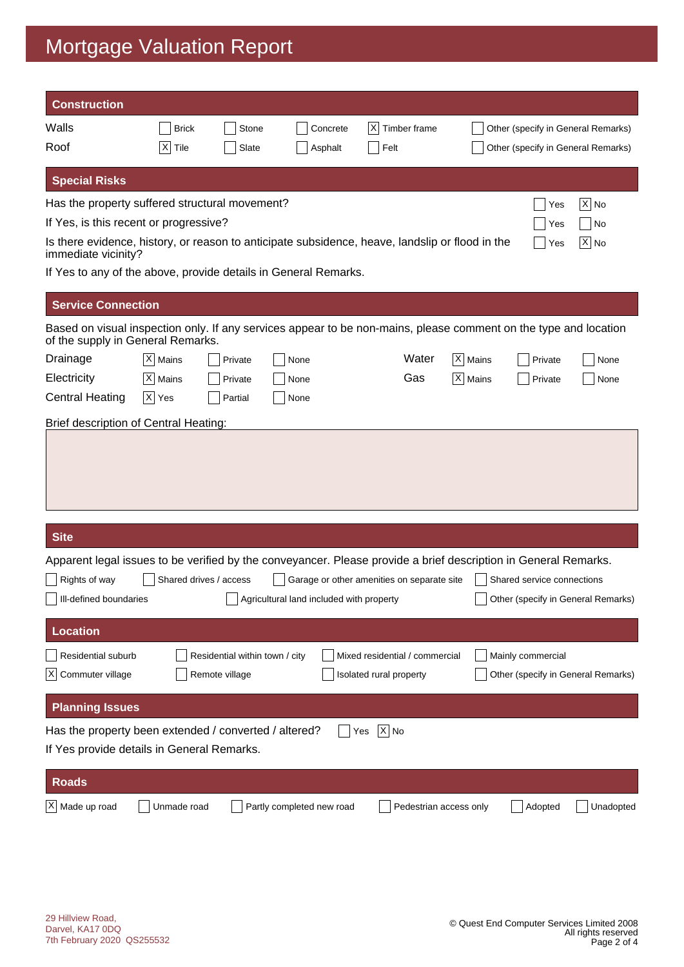# Mortgage Valuation Report

| <b>Construction</b>                                                                                                                                   |                        |                                |                                          |                                            |           |                                    |           |
|-------------------------------------------------------------------------------------------------------------------------------------------------------|------------------------|--------------------------------|------------------------------------------|--------------------------------------------|-----------|------------------------------------|-----------|
| Walls                                                                                                                                                 | <b>Brick</b>           | Stone                          | Concrete                                 | X <br>Timber frame                         |           | Other (specify in General Remarks) |           |
| Roof                                                                                                                                                  | $\times$<br>Tile       | Slate                          | Asphalt                                  | Felt                                       |           | Other (specify in General Remarks) |           |
| <b>Special Risks</b>                                                                                                                                  |                        |                                |                                          |                                            |           |                                    |           |
| Has the property suffered structural movement?                                                                                                        |                        |                                |                                          |                                            |           | Yes                                | $X $ No   |
| If Yes, is this recent or progressive?                                                                                                                |                        |                                |                                          |                                            |           | Yes                                | No        |
| Is there evidence, history, or reason to anticipate subsidence, heave, landslip or flood in the<br>immediate vicinity?                                |                        |                                |                                          |                                            |           | Yes                                | X  No     |
| If Yes to any of the above, provide details in General Remarks.                                                                                       |                        |                                |                                          |                                            |           |                                    |           |
| <b>Service Connection</b>                                                                                                                             |                        |                                |                                          |                                            |           |                                    |           |
| Based on visual inspection only. If any services appear to be non-mains, please comment on the type and location<br>of the supply in General Remarks. |                        |                                |                                          |                                            |           |                                    |           |
| Drainage                                                                                                                                              | $ X $ Mains            | Private                        | None                                     | Water                                      | X   Mains | Private                            | None      |
| Electricity                                                                                                                                           | X Mains                | Private                        | None                                     | Gas                                        | $X$ Mains | Private                            | None      |
| <b>Central Heating</b>                                                                                                                                | $ X $ Yes              | Partial                        | None                                     |                                            |           |                                    |           |
| Brief description of Central Heating:                                                                                                                 |                        |                                |                                          |                                            |           |                                    |           |
|                                                                                                                                                       |                        |                                |                                          |                                            |           |                                    |           |
| <b>Site</b>                                                                                                                                           |                        |                                |                                          |                                            |           |                                    |           |
| Apparent legal issues to be verified by the conveyancer. Please provide a brief description in General Remarks.                                       |                        |                                |                                          |                                            |           |                                    |           |
| Rights of way                                                                                                                                         | Shared drives / access |                                |                                          | Garage or other amenities on separate site |           | Shared service connections         |           |
| Ill-defined boundaries                                                                                                                                |                        |                                | Agricultural land included with property |                                            |           | Other (specify in General Remarks) |           |
| <b>Location</b>                                                                                                                                       |                        |                                |                                          |                                            |           |                                    |           |
| <b>Residential suburb</b>                                                                                                                             |                        | Residential within town / city |                                          | Mixed residential / commercial             |           | Mainly commercial                  |           |
| $ {\mathsf X} $<br>Commuter village                                                                                                                   |                        | Remote village                 |                                          | Isolated rural property                    |           | Other (specify in General Remarks) |           |
| <b>Planning Issues</b>                                                                                                                                |                        |                                |                                          |                                            |           |                                    |           |
| Has the property been extended / converted / altered?<br>If Yes provide details in General Remarks.                                                   |                        |                                |                                          | $ X $ No<br>Yes                            |           |                                    |           |
| <b>Roads</b>                                                                                                                                          |                        |                                |                                          |                                            |           |                                    |           |
| X Made up road                                                                                                                                        | Unmade road            |                                | Partly completed new road                | Pedestrian access only                     |           | Adopted                            | Unadopted |
|                                                                                                                                                       |                        |                                |                                          |                                            |           |                                    |           |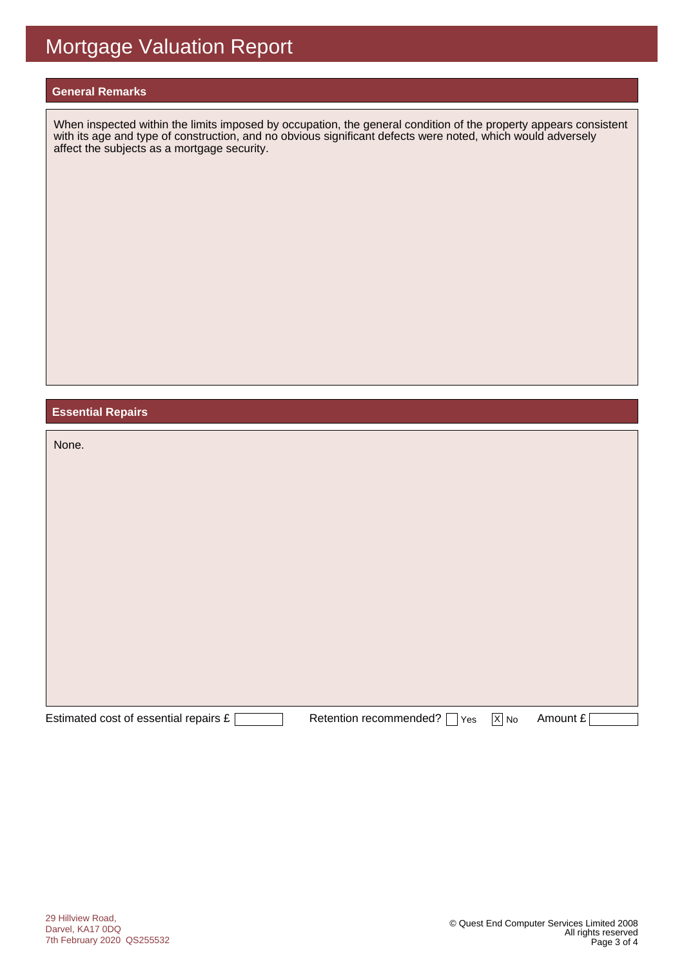#### **General Remarks**

When inspected within the limits imposed by occupation, the general condition of the property appears consistent with its age and type of construction, and no obvious significant defects were noted, which would adversely affect the subjects as a mortgage security.

### **Essential Repairs**

| None.                                 |                               |                   |          |
|---------------------------------------|-------------------------------|-------------------|----------|
|                                       |                               |                   |          |
|                                       |                               |                   |          |
| Estimated cost of essential repairs £ | Retention recommended?<br>Yes | $\overline{X}$ No | Amount £ |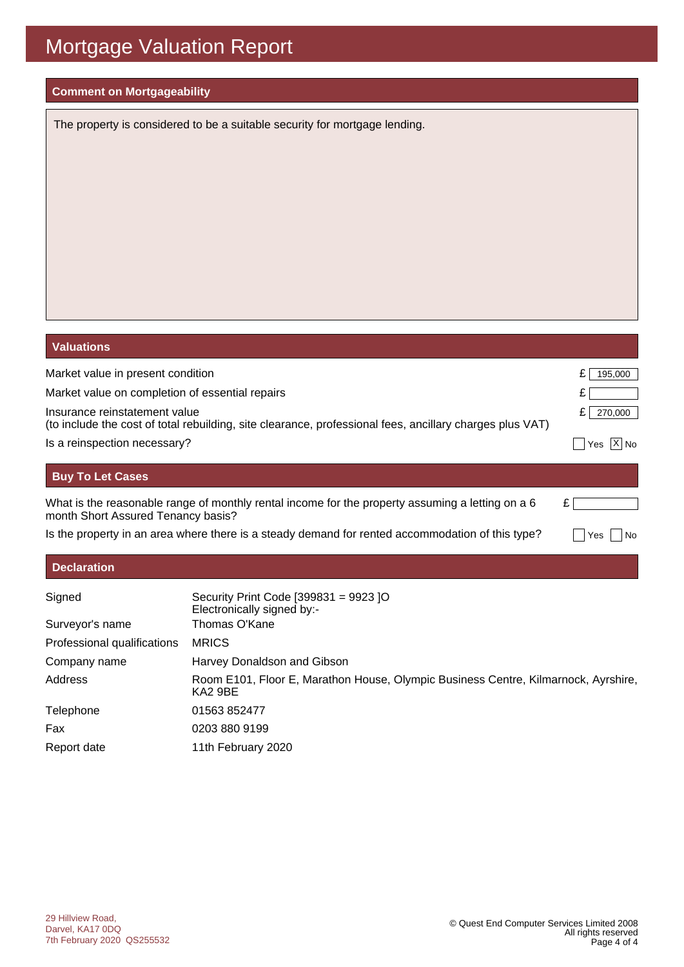# Mortgage Valuation Report

### **Comment on Mortgageability**

The property is considered to be a suitable security for mortgage lending.

| <b>Valuations</b>                  |                                                                                                          |                 |
|------------------------------------|----------------------------------------------------------------------------------------------------------|-----------------|
| Market value in present condition  |                                                                                                          | 195,000<br>£    |
|                                    | Market value on completion of essential repairs                                                          |                 |
| Insurance reinstatement value      | (to include the cost of total rebuilding, site clearance, professional fees, ancillary charges plus VAT) | £<br>270,000    |
| Is a reinspection necessary?       |                                                                                                          | $ X $ No<br>Yes |
| <b>Buy To Let Cases</b>            |                                                                                                          |                 |
| month Short Assured Tenancy basis? | What is the reasonable range of monthly rental income for the property assuming a letting on a 6         | £               |
|                                    | Is the property in an area where there is a steady demand for rented accommodation of this type?         | No<br>Yes       |
| <b>Declaration</b>                 |                                                                                                          |                 |
| Signed                             | Security Print Code [399831 = 9923 ]O                                                                    |                 |

|                             | Electronically signed by:-                                                                    |
|-----------------------------|-----------------------------------------------------------------------------------------------|
| Surveyor's name             | Thomas O'Kane                                                                                 |
| Professional qualifications | <b>MRICS</b>                                                                                  |
| Company name                | Harvey Donaldson and Gibson                                                                   |
| Address                     | Room E101, Floor E, Marathon House, Olympic Business Centre, Kilmarnock, Ayrshire,<br>KA2 9BE |
| Telephone                   | 01563 852477                                                                                  |
| Fax                         | 0203 880 9199                                                                                 |
| Report date                 | 11th February 2020                                                                            |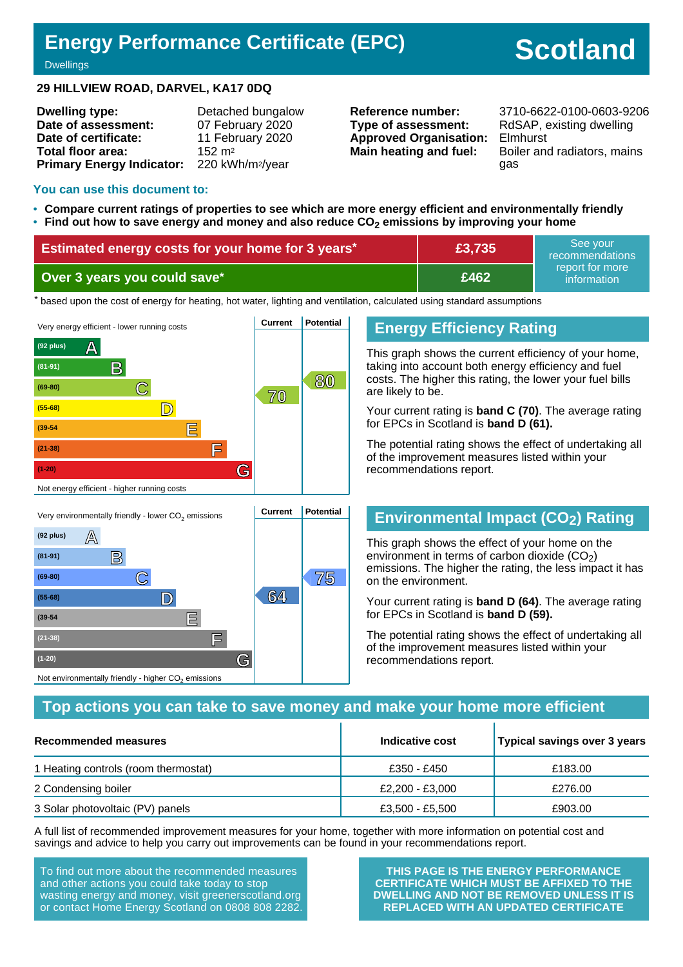# **Energy Performance Certificate (EPC)**

# **Scotland**

#### **Dwellings**

### **29 HILLVIEW ROAD, DARVEL, KA17 0DQ**

| <b>Dwelling type:</b>            | Detached bungalow            |
|----------------------------------|------------------------------|
| Date of assessment:              | 07 February 2020             |
| Date of certificate:             | 11 February 2020             |
| <b>Total floor area:</b>         | $152 \text{ m}^2$            |
| <b>Primary Energy Indicator:</b> | 220 kWh/m <sup>2</sup> /year |

**Type of assessment:** RdSAP, existing dwelling **Approved Organisation:** Elmhurst

**Reference number:** 3710-6622-0100-0603-9206 **Main heating and fuel:** Boiler and radiators, mains gas

### **You can use this document to:**

- **Compare current ratings of properties to see which are more energy efficient and environmentally friendly**
- **Find out how to save energy and money and also reduce CO2 emissions by improving your home**

| Estimated energy costs for your home for 3 years* | £3,735 | See vour<br>recommendations    |
|---------------------------------------------------|--------|--------------------------------|
| Over 3 years you could save*                      | E462   | report for more<br>information |

the based upon the cost of energy for heating, hot water, lighting and ventilation, calculated using standard assumptions



**C 75 (69-80)**

**(55-68) D 64**

**(39-54 E**

**(21-38) F**

Not environmentally friendly - higher  $\mathsf{CO}_2$  emissions

**(1-20) G**

### **Energy Efficiency Rating**

This graph shows the current efficiency of your home, taking into account both energy efficiency and fuel costs. The higher this rating, the lower your fuel bills are likely to be.

Your current rating is **band C (70)**. The average rating for EPCs in Scotland is **band D (61).**

The potential rating shows the effect of undertaking all of the improvement measures listed within your recommendations report.

### **Environmental Impact (CO2) Rating**

This graph shows the effect of your home on the environment in terms of carbon dioxide  $(CO<sub>2</sub>)$ emissions. The higher the rating, the less impact it has on the environment.

Your current rating is **band D (64)**. The average rating for EPCs in Scotland is **band D (59).**

The potential rating shows the effect of undertaking all of the improvement measures listed within your recommendations report.

### **Top actions you can take to save money and make your home more efficient**

| Recommended measures                 | Indicative cost | Typical savings over 3 years |
|--------------------------------------|-----------------|------------------------------|
| 1 Heating controls (room thermostat) | £350 - £450     | £183.00                      |
| 2 Condensing boiler                  | £2.200 - £3.000 | £276.00                      |
| 3 Solar photovoltaic (PV) panels     | £3,500 - £5,500 | £903.00                      |

A full list of recommended improvement measures for your home, together with more information on potential cost and savings and advice to help you carry out improvements can be found in your recommendations report.

To find out more about the recommended measures and other actions you could take today to stop wasting energy and money, visit greenerscotland.org or contact Home Energy Scotland on 0808 808 2282.

**THIS PAGE IS THE ENERGY PERFORMANCE CERTIFICATE WHICH MUST BE AFFIXED TO THE DWELLING AND NOT BE REMOVED UNLESS IT IS REPLACED WITH AN UPDATED CERTIFICATE**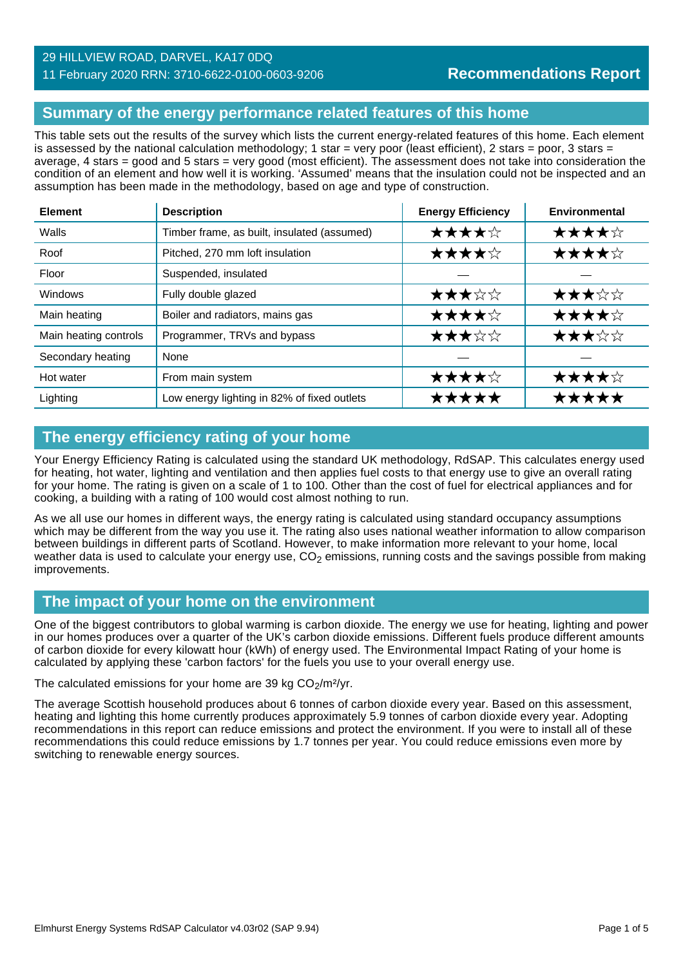### 29 HILLVIEW ROAD, DARVEL, KA17 0DQ

### 11 February 2020 RRN: 3710-6622-0100-0603-9206

### **Summary of the energy performance related features of this home**

This table sets out the results of the survey which lists the current energy-related features of this home. Each element is assessed by the national calculation methodology; 1 star = very poor (least efficient), 2 stars = poor, 3 stars = average, 4 stars = good and 5 stars = very good (most efficient). The assessment does not take into consideration the condition of an element and how well it is working. 'Assumed' means that the insulation could not be inspected and an assumption has been made in the methodology, based on age and type of construction.

| <b>Element</b>        | <b>Description</b>                          | <b>Energy Efficiency</b> | <b>Environmental</b> |
|-----------------------|---------------------------------------------|--------------------------|----------------------|
| Walls                 | Timber frame, as built, insulated (assumed) | ★★★★☆                    | ★★★★☆                |
| Roof                  | Pitched, 270 mm loft insulation             | ★★★★☆                    | ★★★★☆                |
| Floor                 | Suspended, insulated                        |                          |                      |
| Windows               | Fully double glazed                         | ★★★☆☆                    | ★★★☆☆                |
| Main heating          | Boiler and radiators, mains gas             | ★★★★☆                    | ★★★★☆                |
| Main heating controls | Programmer, TRVs and bypass                 | ★★★☆☆                    | ★★★☆☆                |
| Secondary heating     | None                                        |                          |                      |
| Hot water             | From main system                            | ★★★★☆                    | ★★★★☆                |
| Lighting              | Low energy lighting in 82% of fixed outlets | ★★★★★                    |                      |

### **The energy efficiency rating of your home**

Your Energy Efficiency Rating is calculated using the standard UK methodology, RdSAP. This calculates energy used for heating, hot water, lighting and ventilation and then applies fuel costs to that energy use to give an overall rating for your home. The rating is given on a scale of 1 to 100. Other than the cost of fuel for electrical appliances and for cooking, a building with a rating of 100 would cost almost nothing to run.

As we all use our homes in different ways, the energy rating is calculated using standard occupancy assumptions which may be different from the way you use it. The rating also uses national weather information to allow comparison between buildings in different parts of Scotland. However, to make information more relevant to your home, local weather data is used to calculate your energy use,  $CO<sub>2</sub>$  emissions, running costs and the savings possible from making improvements.

### **The impact of your home on the environment**

One of the biggest contributors to global warming is carbon dioxide. The energy we use for heating, lighting and power in our homes produces over a quarter of the UK's carbon dioxide emissions. Different fuels produce different amounts of carbon dioxide for every kilowatt hour (kWh) of energy used. The Environmental Impact Rating of your home is calculated by applying these 'carbon factors' for the fuels you use to your overall energy use.

The calculated emissions for your home are 39 kg  $CO<sub>2</sub>/m<sup>2</sup>/yr$ .

The average Scottish household produces about 6 tonnes of carbon dioxide every year. Based on this assessment, heating and lighting this home currently produces approximately 5.9 tonnes of carbon dioxide every year. Adopting recommendations in this report can reduce emissions and protect the environment. If you were to install all of these recommendations this could reduce emissions by 1.7 tonnes per year. You could reduce emissions even more by switching to renewable energy sources.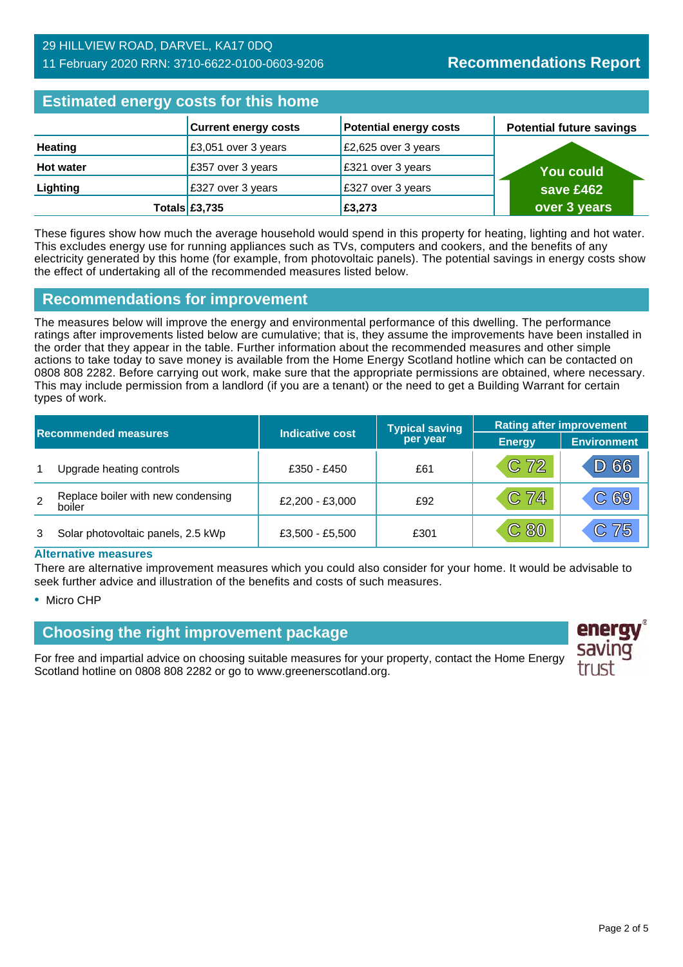### 29 HILLVIEW ROAD, DARVEL, KA17 0DQ 11 February 2020 RRN: 3710-6622-0100-0603-9206

### **Estimated energy costs for this home**

| <b>Edurington onorgy objects for this home</b> |  |                             |                               |                                 |  |  |
|------------------------------------------------|--|-----------------------------|-------------------------------|---------------------------------|--|--|
|                                                |  | <b>Current energy costs</b> | <b>Potential energy costs</b> | <b>Potential future savings</b> |  |  |
| <b>Heating</b>                                 |  | £3,051 over 3 years         | £2,625 over 3 years           |                                 |  |  |
| <b>Hot water</b>                               |  | £357 over 3 years           | £321 over 3 years             | <b>You could</b>                |  |  |
| Lighting                                       |  | £327 over 3 years           | £327 over 3 years             | save £462                       |  |  |
|                                                |  | Totals $£3,735$             | £3,273                        | over 3 years                    |  |  |

These figures show how much the average household would spend in this property for heating, lighting and hot water. This excludes energy use for running appliances such as TVs, computers and cookers, and the benefits of any electricity generated by this home (for example, from photovoltaic panels). The potential savings in energy costs show the effect of undertaking all of the recommended measures listed below.

### **Recommendations for improvement**

The measures below will improve the energy and environmental performance of this dwelling. The performance ratings after improvements listed below are cumulative; that is, they assume the improvements have been installed in the order that they appear in the table. Further information about the recommended measures and other simple actions to take today to save money is available from the Home Energy Scotland hotline which can be contacted on 0808 808 2282. Before carrying out work, make sure that the appropriate permissions are obtained, where necessary. This may include permission from a landlord (if you are a tenant) or the need to get a Building Warrant for certain types of work.

| <b>Recommended measures</b> |                                              |                 | <b>Typical saving</b> | <b>Rating after improvement</b> |                    |  |
|-----------------------------|----------------------------------------------|-----------------|-----------------------|---------------------------------|--------------------|--|
|                             |                                              | Indicative cost | per year              | <b>Energy</b>                   | <b>Environment</b> |  |
| 1                           | Upgrade heating controls                     | £350 - £450     | £61                   | $C$ 72                          | D 66               |  |
| 2                           | Replace boiler with new condensing<br>boiler | £2,200 - £3,000 | £92                   | $C$ 74                          | C69                |  |
|                             | Solar photovoltaic panels, 2.5 kWp           | £3,500 - £5,500 | £301                  | C80                             | C 75               |  |

#### **Alternative measures**

There are alternative improvement measures which you could also consider for your home. It would be advisable to seek further advice and illustration of the benefits and costs of such measures.

• Micro CHP

### **Choosing the right improvement package**

For free and impartial advice on choosing suitable measures for your property, contact the Home Energy Scotland hotline on 0808 808 2282 or go to www.greenerscotland.org.

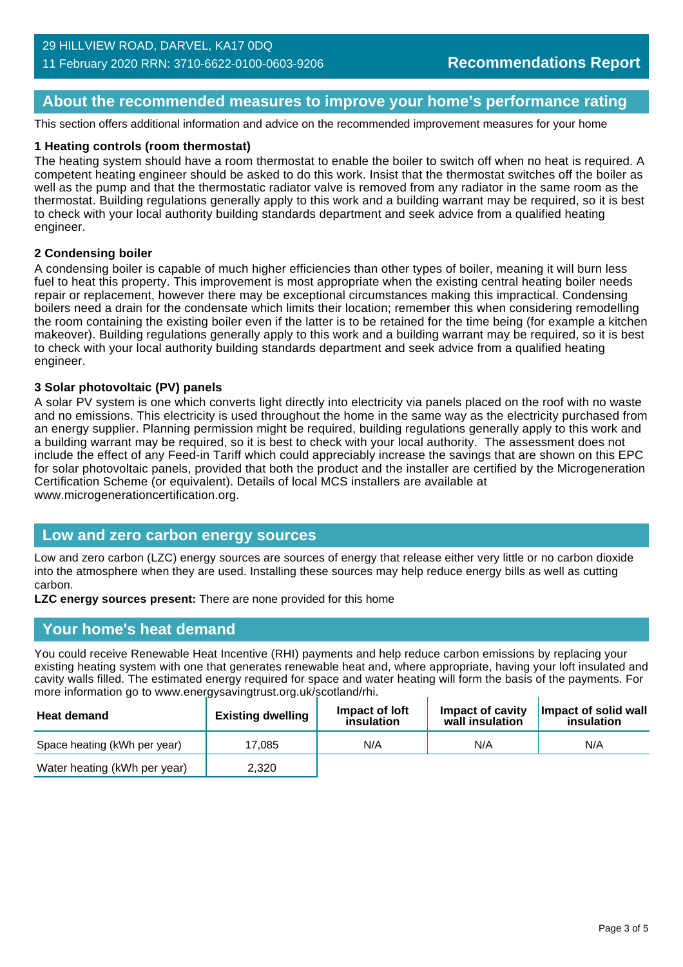### **About the recommended measures to improve your home's performance rating**

This section offers additional information and advice on the recommended improvement measures for your home

### **1 Heating controls (room thermostat)**

The heating system should have a room thermostat to enable the boiler to switch off when no heat is required. A competent heating engineer should be asked to do this work. Insist that the thermostat switches off the boiler as well as the pump and that the thermostatic radiator valve is removed from any radiator in the same room as the thermostat. Building regulations generally apply to this work and a building warrant may be required, so it is best to check with your local authority building standards department and seek advice from a qualified heating engineer.

### **2 Condensing boiler**

A condensing boiler is capable of much higher efficiencies than other types of boiler, meaning it will burn less fuel to heat this property. This improvement is most appropriate when the existing central heating boiler needs repair or replacement, however there may be exceptional circumstances making this impractical. Condensing boilers need a drain for the condensate which limits their location; remember this when considering remodelling the room containing the existing boiler even if the latter is to be retained for the time being (for example a kitchen makeover). Building regulations generally apply to this work and a building warrant may be required, so it is best to check with your local authority building standards department and seek advice from a qualified heating engineer.

### **3 Solar photovoltaic (PV) panels**

A solar PV system is one which converts light directly into electricity via panels placed on the roof with no waste and no emissions. This electricity is used throughout the home in the same way as the electricity purchased from an energy supplier. Planning permission might be required, building regulations generally apply to this work and a building warrant may be required, so it is best to check with your local authority. The assessment does not include the effect of any Feed-in Tariff which could appreciably increase the savings that are shown on this EPC for solar photovoltaic panels, provided that both the product and the installer are certified by the Microgeneration Certification Scheme (or equivalent). Details of local MCS installers are available at www.microgenerationcertification.org.

### **Low and zero carbon energy sources**

Low and zero carbon (LZC) energy sources are sources of energy that release either very little or no carbon dioxide into the atmosphere when they are used. Installing these sources may help reduce energy bills as well as cutting carbon.

**LZC energy sources present:** There are none provided for this home

### **Your home's heat demand**

You could receive Renewable Heat Incentive (RHI) payments and help reduce carbon emissions by replacing your existing heating system with one that generates renewable heat and, where appropriate, having your loft insulated and cavity walls filled. The estimated energy required for space and water heating will form the basis of the payments. For more information go to www.energysavingtrust.org.uk/scotland/rhi.

| <b>Heat demand</b>           | <b>Existing dwelling</b> | Impact of Joft<br>insulation | Impact of cavity<br>wall insulation | Impact of solid wall<br>insulation |
|------------------------------|--------------------------|------------------------------|-------------------------------------|------------------------------------|
| Space heating (kWh per year) | 17.085                   | N/A                          | N/A                                 | N/A                                |
| Water heating (kWh per year) | 2,320                    |                              |                                     |                                    |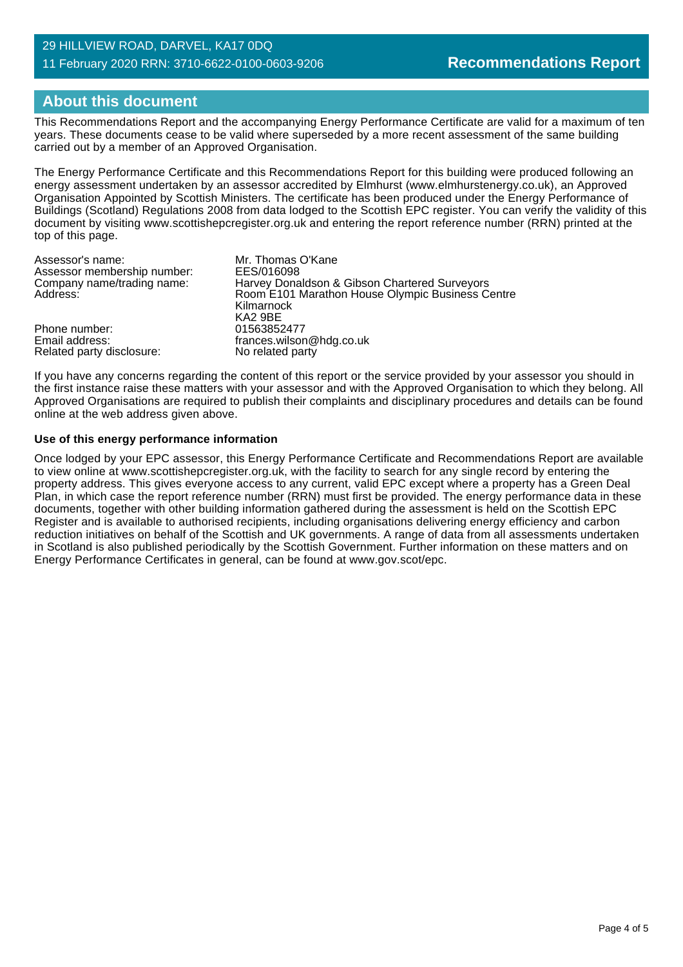### 29 HILLVIEW ROAD, DARVEL, KA17 0DQ 11 February 2020 RRN: 3710-6622-0100-0603-9206

### **About this document**

This Recommendations Report and the accompanying Energy Performance Certificate are valid for a maximum of ten years. These documents cease to be valid where superseded by a more recent assessment of the same building carried out by a member of an Approved Organisation.

The Energy Performance Certificate and this Recommendations Report for this building were produced following an energy assessment undertaken by an assessor accredited by Elmhurst (www.elmhurstenergy.co.uk), an Approved Organisation Appointed by Scottish Ministers. The certificate has been produced under the Energy Performance of Buildings (Scotland) Regulations 2008 from data lodged to the Scottish EPC register. You can verify the validity of this document by visiting www.scottishepcregister.org.uk and entering the report reference number (RRN) printed at the top of this page.

| Assessor's name:            | Mr. Thomas O'Kane                                |
|-----------------------------|--------------------------------------------------|
| Assessor membership number: | EES/016098                                       |
| Company name/trading name:  | Harvey Donaldson & Gibson Chartered Surveyors    |
| Address:                    | Room E101 Marathon House Olympic Business Centre |
|                             | Kilmarnock                                       |
|                             | KA2 9BE                                          |
| Phone number:               | 01563852477                                      |
| Email address:              | frances.wilson@hdg.co.uk                         |
| Related party disclosure:   | No related party                                 |

If you have any concerns regarding the content of this report or the service provided by your assessor you should in the first instance raise these matters with your assessor and with the Approved Organisation to which they belong. All Approved Organisations are required to publish their complaints and disciplinary procedures and details can be found online at the web address given above.

### **Use of this energy performance information**

Once lodged by your EPC assessor, this Energy Performance Certificate and Recommendations Report are available to view online at www.scottishepcregister.org.uk, with the facility to search for any single record by entering the property address. This gives everyone access to any current, valid EPC except where a property has a Green Deal Plan, in which case the report reference number (RRN) must first be provided. The energy performance data in these documents, together with other building information gathered during the assessment is held on the Scottish EPC Register and is available to authorised recipients, including organisations delivering energy efficiency and carbon reduction initiatives on behalf of the Scottish and UK governments. A range of data from all assessments undertaken in Scotland is also published periodically by the Scottish Government. Further information on these matters and on Energy Performance Certificates in general, can be found at www.gov.scot/epc.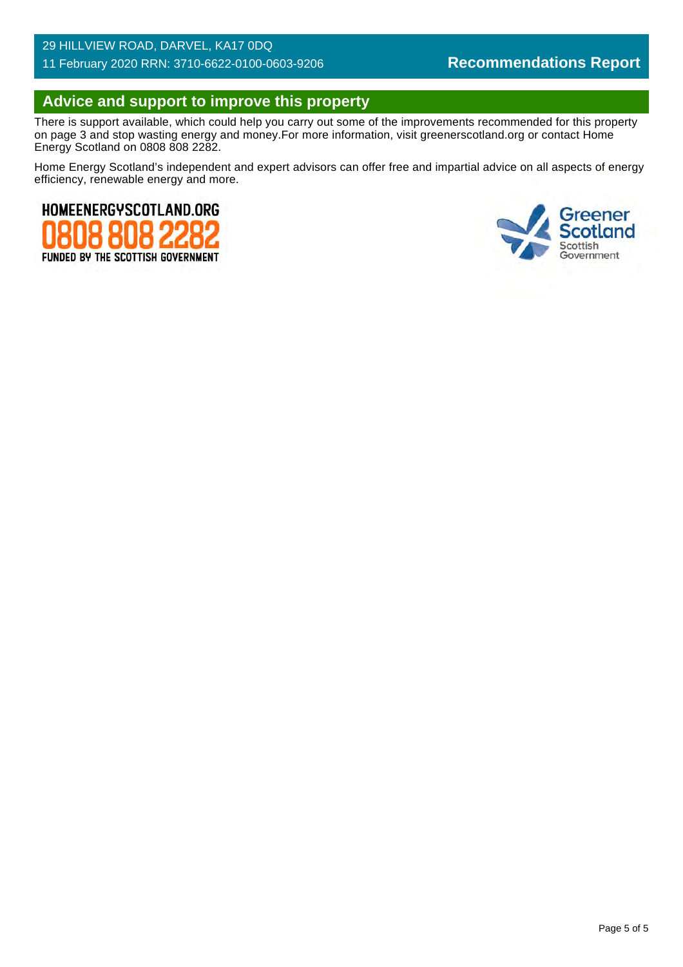### 29 HILLVIEW ROAD, DARVEL, KA17 0DQ 11 February 2020 RRN: 3710-6622-0100-0603-9206

### **Advice and support to improve this property**

There is support available, which could help you carry out some of the improvements recommended for this property on page 3 and stop wasting energy and money.For more information, visit greenerscotland.org or contact Home Energy Scotland on 0808 808 2282.

Home Energy Scotland's independent and expert advisors can offer free and impartial advice on all aspects of energy efficiency, renewable energy and more.



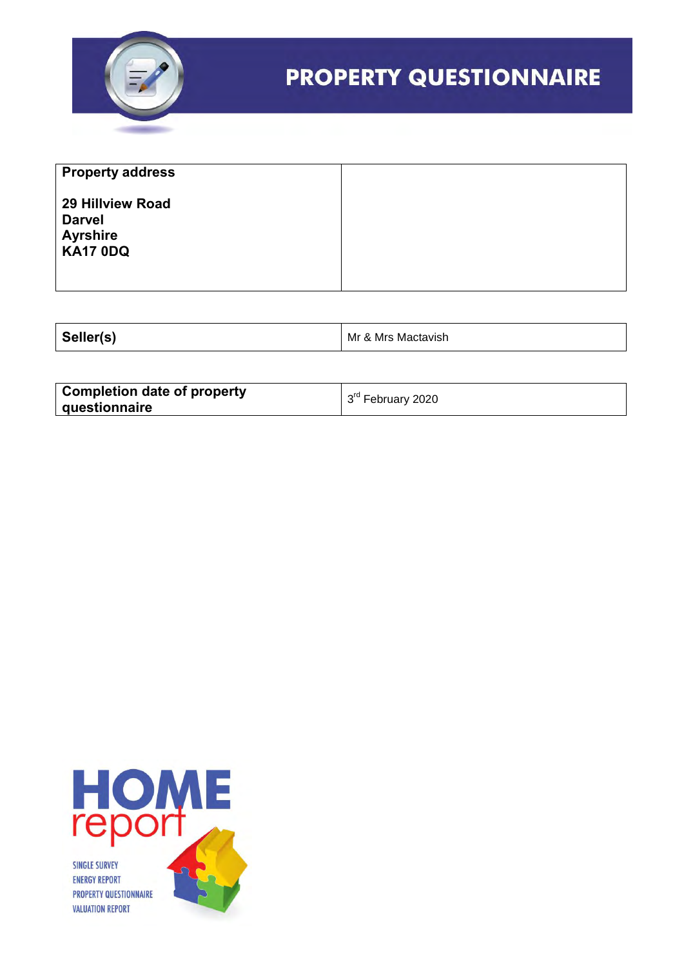

| <b>Property address</b>                                                 |  |
|-------------------------------------------------------------------------|--|
| 29 Hillview Road<br><b>Darvel</b><br><b>Ayrshire</b><br><b>KA17 0DQ</b> |  |

| seller(s) | Mr<br>Mactavish<br>Mrs<br>⅍ |
|-----------|-----------------------------|
|-----------|-----------------------------|

| <b>Completion date of property</b> | 3rd February 2020 |
|------------------------------------|-------------------|
| <b>guestionnaire</b>               |                   |

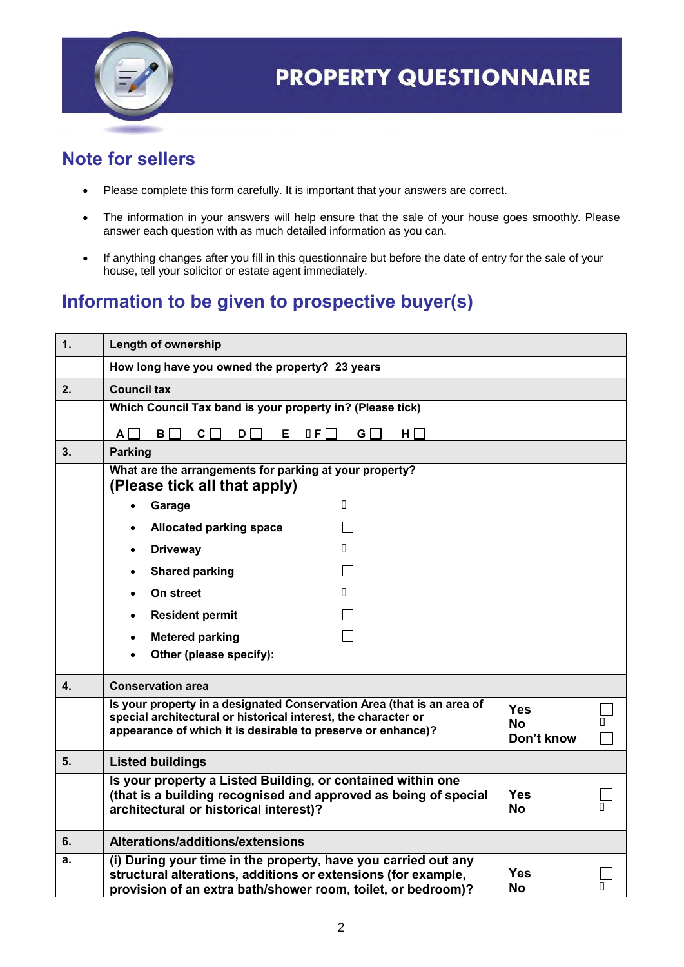

### **Note for sellers**

- Please complete this form carefully. It is important that your answers are correct.
- The information in your answers will help ensure that the sale of your house goes smoothly. Please answer each question with as much detailed information as you can.
- If anything changes after you fill in this questionnaire but before the date of entry for the sale of your house, tell your solicitor or estate agent immediately.

### **Information to be given to prospective buyer(s)**

| 1. | <b>Length of ownership</b>                                                                                                                                                                               |                                       |  |
|----|----------------------------------------------------------------------------------------------------------------------------------------------------------------------------------------------------------|---------------------------------------|--|
|    | How long have you owned the property? 23 years                                                                                                                                                           |                                       |  |
| 2. | <b>Council tax</b>                                                                                                                                                                                       |                                       |  |
|    | Which Council Tax band is your property in? (Please tick)                                                                                                                                                |                                       |  |
|    | $\mathsf{A}$<br>B  <br>C I<br>0 F<br>G  <br>$H \Box$<br>D<br>Е.                                                                                                                                          |                                       |  |
| 3. | <b>Parking</b>                                                                                                                                                                                           |                                       |  |
|    | What are the arrangements for parking at your property?<br>(Please tick all that apply)                                                                                                                  |                                       |  |
|    | П.<br>Garage                                                                                                                                                                                             |                                       |  |
|    | <b>Allocated parking space</b>                                                                                                                                                                           |                                       |  |
|    | <b>Driveway</b><br>П.<br>$\bullet$                                                                                                                                                                       |                                       |  |
|    | <b>Shared parking</b>                                                                                                                                                                                    |                                       |  |
|    | On street<br>П.<br>$\bullet$                                                                                                                                                                             |                                       |  |
|    | <b>Resident permit</b>                                                                                                                                                                                   |                                       |  |
|    | <b>Metered parking</b><br>$\bullet$                                                                                                                                                                      |                                       |  |
|    | Other (please specify):                                                                                                                                                                                  |                                       |  |
| 4. | <b>Conservation area</b>                                                                                                                                                                                 |                                       |  |
|    | Is your property in a designated Conservation Area (that is an area of<br>special architectural or historical interest, the character or<br>appearance of which it is desirable to preserve or enhance)? | <b>Yes</b><br><b>No</b><br>Don't know |  |
| 5. | <b>Listed buildings</b>                                                                                                                                                                                  |                                       |  |
|    | Is your property a Listed Building, or contained within one<br>(that is a building recognised and approved as being of special<br>architectural or historical interest)?                                 | <b>Yes</b><br><b>No</b>               |  |
| 6. | Alterations/additions/extensions                                                                                                                                                                         |                                       |  |
| а. | (i) During your time in the property, have you carried out any<br>structural alterations, additions or extensions (for example,<br>provision of an extra bath/shower room, toilet, or bedroom)?          | <b>Yes</b><br><b>No</b>               |  |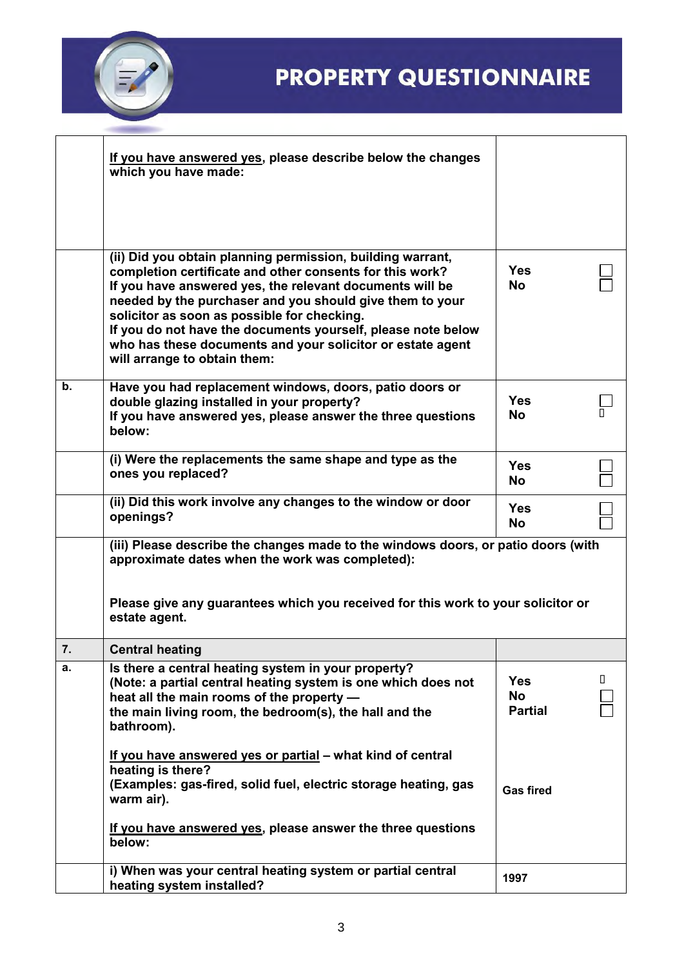

|               | If you have answered yes, please describe below the changes<br>which you have made:                                                                                                                                                                                                                                                                                                                                                                         |                                           |   |
|---------------|-------------------------------------------------------------------------------------------------------------------------------------------------------------------------------------------------------------------------------------------------------------------------------------------------------------------------------------------------------------------------------------------------------------------------------------------------------------|-------------------------------------------|---|
|               | (ii) Did you obtain planning permission, building warrant,<br>completion certificate and other consents for this work?<br>If you have answered yes, the relevant documents will be<br>needed by the purchaser and you should give them to your<br>solicitor as soon as possible for checking.<br>If you do not have the documents yourself, please note below<br>who has these documents and your solicitor or estate agent<br>will arrange to obtain them: | <b>Yes</b><br><b>No</b>                   |   |
| $\mathbf b$ . | Have you had replacement windows, doors, patio doors or<br>double glazing installed in your property?<br>If you have answered yes, please answer the three questions<br>below:                                                                                                                                                                                                                                                                              | <b>Yes</b><br><b>No</b>                   |   |
|               | (i) Were the replacements the same shape and type as the<br>ones you replaced?                                                                                                                                                                                                                                                                                                                                                                              | <b>Yes</b><br><b>No</b>                   |   |
|               | (ii) Did this work involve any changes to the window or door<br>openings?                                                                                                                                                                                                                                                                                                                                                                                   | <b>Yes</b><br><b>No</b>                   |   |
|               | (iii) Please describe the changes made to the windows doors, or patio doors (with<br>approximate dates when the work was completed):<br>Please give any guarantees which you received for this work to your solicitor or<br>estate agent.                                                                                                                                                                                                                   |                                           |   |
| 7.            | <b>Central heating</b>                                                                                                                                                                                                                                                                                                                                                                                                                                      |                                           |   |
| а.            | Is there a central heating system in your property?<br>(Note: a partial central heating system is one which does not<br>heat all the main rooms of the property -<br>the main living room, the bedroom(s), the hall and the<br>bathroom).<br>If you have answered yes or partial – what kind of central<br>heating is there?                                                                                                                                | <b>Yes</b><br><b>No</b><br><b>Partial</b> | Ш |
|               | (Examples: gas-fired, solid fuel, electric storage heating, gas<br>warm air).<br>If you have answered yes, please answer the three questions<br>below:                                                                                                                                                                                                                                                                                                      | <b>Gas fired</b>                          |   |
|               | i) When was your central heating system or partial central<br>heating system installed?                                                                                                                                                                                                                                                                                                                                                                     | 1997                                      |   |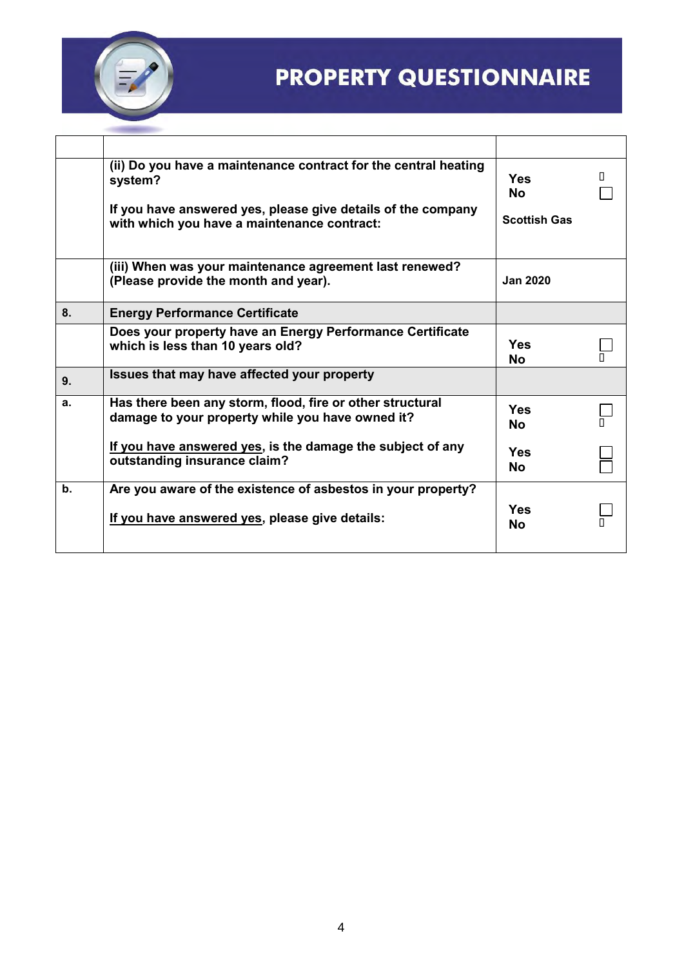

|               | (ii) Do you have a maintenance contract for the central heating<br>system?                                    | <b>Yes</b><br>No.   | П. |
|---------------|---------------------------------------------------------------------------------------------------------------|---------------------|----|
|               | If you have answered yes, please give details of the company<br>with which you have a maintenance contract:   | <b>Scottish Gas</b> |    |
|               | (iii) When was your maintenance agreement last renewed?<br>(Please provide the month and year).               | <b>Jan 2020</b>     |    |
| 8.            | <b>Energy Performance Certificate</b>                                                                         |                     |    |
|               | Does your property have an Energy Performance Certificate<br>which is less than 10 years old?                 | Yes<br>No           |    |
| 9.            | Issues that may have affected your property                                                                   |                     |    |
| a.            | Has there been any storm, flood, fire or other structural<br>damage to your property while you have owned it? | Yes<br>No.          |    |
|               | If you have answered yes, is the damage the subject of any<br>outstanding insurance claim?                    | Yes<br>No.          |    |
| $\mathbf b$ . | Are you aware of the existence of asbestos in your property?                                                  |                     |    |
|               | If you have answered yes, please give details:                                                                | Yes<br>No           |    |
|               |                                                                                                               |                     |    |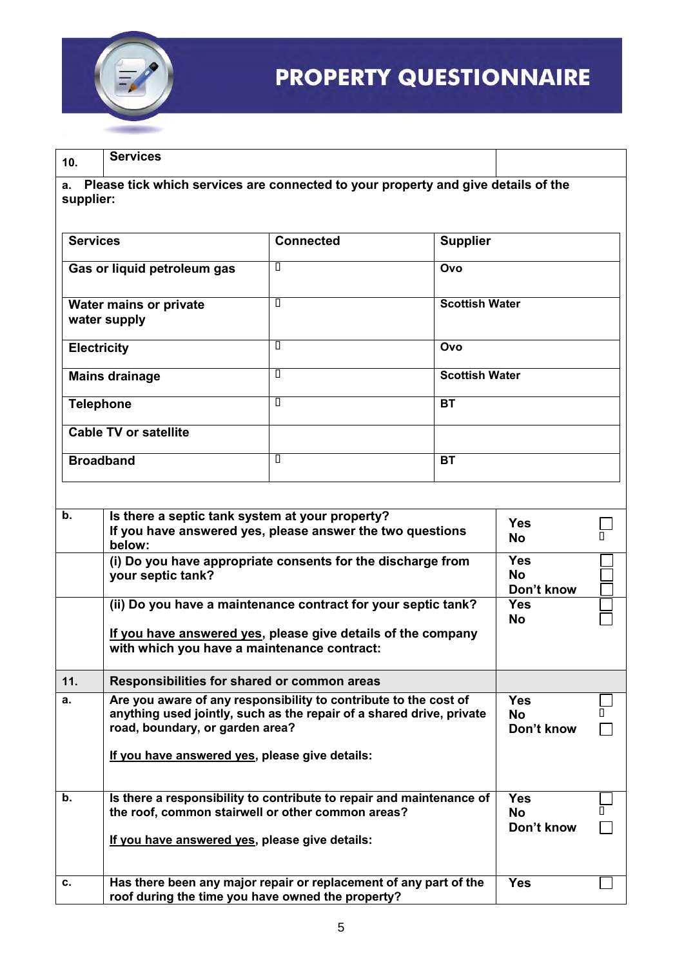

**10. Services**

**a. Please tick which services are connected to your property and give details of the supplier:**

| <b>Services</b>                        | <b>Connected</b> | <b>Supplier</b>       |
|----------------------------------------|------------------|-----------------------|
| Gas or liquid petroleum gas            | П                | Ovo                   |
| Water mains or private<br>water supply | Π                | <b>Scottish Water</b> |
| <b>Electricity</b>                     | Π                | Ovo                   |
| <b>Mains drainage</b>                  | П                | <b>Scottish Water</b> |
| <b>Telephone</b>                       | П                | <b>BT</b>             |
| <b>Cable TV or satellite</b>           |                  |                       |
| <b>Broadband</b>                       | П                | <b>BT</b>             |

| $b$ . | Is there a septic tank system at your property?<br>If you have answered yes, please answer the two questions<br>below:                                                      | <b>Yes</b><br><b>No</b>               |  |
|-------|-----------------------------------------------------------------------------------------------------------------------------------------------------------------------------|---------------------------------------|--|
|       | (i) Do you have appropriate consents for the discharge from<br>your septic tank?                                                                                            | <b>Yes</b><br><b>No</b><br>Don't know |  |
|       | (ii) Do you have a maintenance contract for your septic tank?                                                                                                               | <b>Yes</b><br><b>No</b>               |  |
|       | If you have answered yes, please give details of the company<br>with which you have a maintenance contract:                                                                 |                                       |  |
| 11.   | Responsibilities for shared or common areas                                                                                                                                 |                                       |  |
| a.    | Are you aware of any responsibility to contribute to the cost of<br>anything used jointly, such as the repair of a shared drive, private<br>road, boundary, or garden area? | <b>Yes</b><br><b>No</b><br>Don't know |  |
|       | If you have answered yes, please give details:                                                                                                                              |                                       |  |
| b.    | Is there a responsibility to contribute to repair and maintenance of<br>the roof, common stairwell or other common areas?                                                   | <b>Yes</b><br><b>No</b><br>Don't know |  |
|       | If you have answered yes, please give details:                                                                                                                              |                                       |  |
| c.    | Has there been any major repair or replacement of any part of the<br>roof during the time you have owned the property?                                                      | <b>Yes</b>                            |  |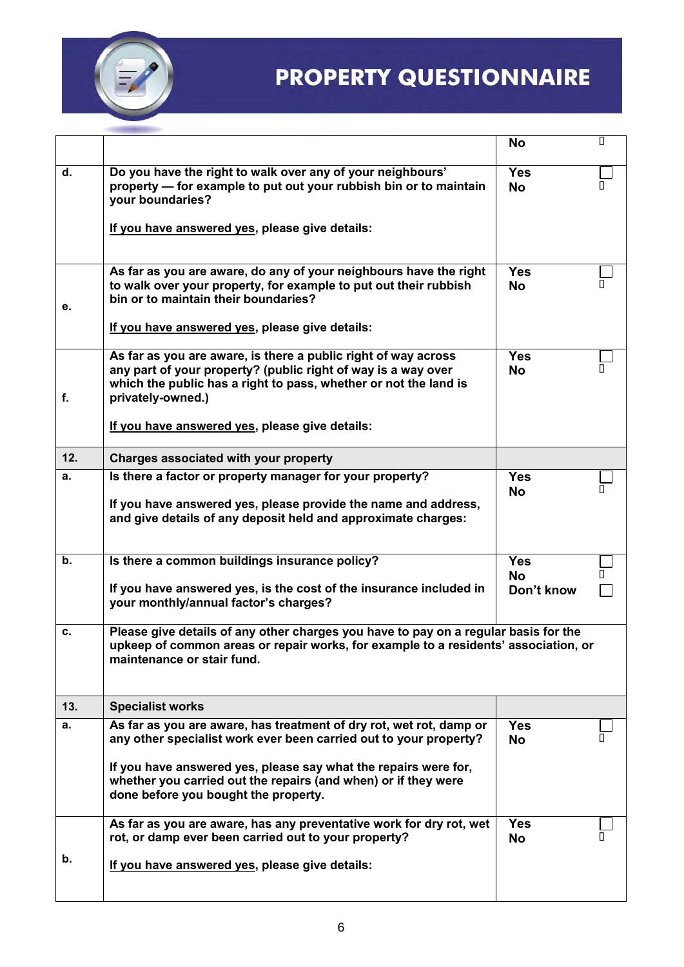

|     |                                                                                                                                                                                                                          | <b>No</b>               | П |
|-----|--------------------------------------------------------------------------------------------------------------------------------------------------------------------------------------------------------------------------|-------------------------|---|
| d.  | Do you have the right to walk over any of your neighbours'<br>property — for example to put out your rubbish bin or to maintain<br>your boundaries?                                                                      | <b>Yes</b><br><b>No</b> |   |
|     | If you have answered yes, please give details:                                                                                                                                                                           |                         |   |
| е.  | As far as you are aware, do any of your neighbours have the right<br>to walk over your property, for example to put out their rubbish<br>bin or to maintain their boundaries?                                            | <b>Yes</b><br><b>No</b> |   |
|     | If you have answered yes, please give details:                                                                                                                                                                           |                         |   |
| f.  | As far as you are aware, is there a public right of way across<br>any part of your property? (public right of way is a way over<br>which the public has a right to pass, whether or not the land is<br>privately-owned.) | <b>Yes</b><br><b>No</b> |   |
|     | If you have answered yes, please give details:                                                                                                                                                                           |                         |   |
| 12. | Charges associated with your property                                                                                                                                                                                    |                         |   |
| а.  | Is there a factor or property manager for your property?<br>If you have answered yes, please provide the name and address,<br>and give details of any deposit held and approximate charges:                              | <b>Yes</b><br><b>No</b> |   |
| b.  | Is there a common buildings insurance policy?                                                                                                                                                                            | <b>Yes</b>              |   |
|     | If you have answered yes, is the cost of the insurance included in<br>your monthly/annual factor's charges?                                                                                                              | <b>No</b><br>Don't know |   |
| с.  | Please give details of any other charges you have to pay on a regular basis for the<br>upkeep of common areas or repair works, for example to a residents' association, or<br>maintenance or stair fund.                 |                         |   |
| 13. | <b>Specialist works</b>                                                                                                                                                                                                  |                         |   |
| а.  | As far as you are aware, has treatment of dry rot, wet rot, damp or<br>any other specialist work ever been carried out to your property?                                                                                 | <b>Yes</b><br><b>No</b> | П |
|     | If you have answered yes, please say what the repairs were for,<br>whether you carried out the repairs (and when) or if they were<br>done before you bought the property.                                                |                         |   |
|     | As far as you are aware, has any preventative work for dry rot, wet<br>rot, or damp ever been carried out to your property?                                                                                              | <b>Yes</b><br><b>No</b> |   |
| b.  | If you have answered yes, please give details:                                                                                                                                                                           |                         |   |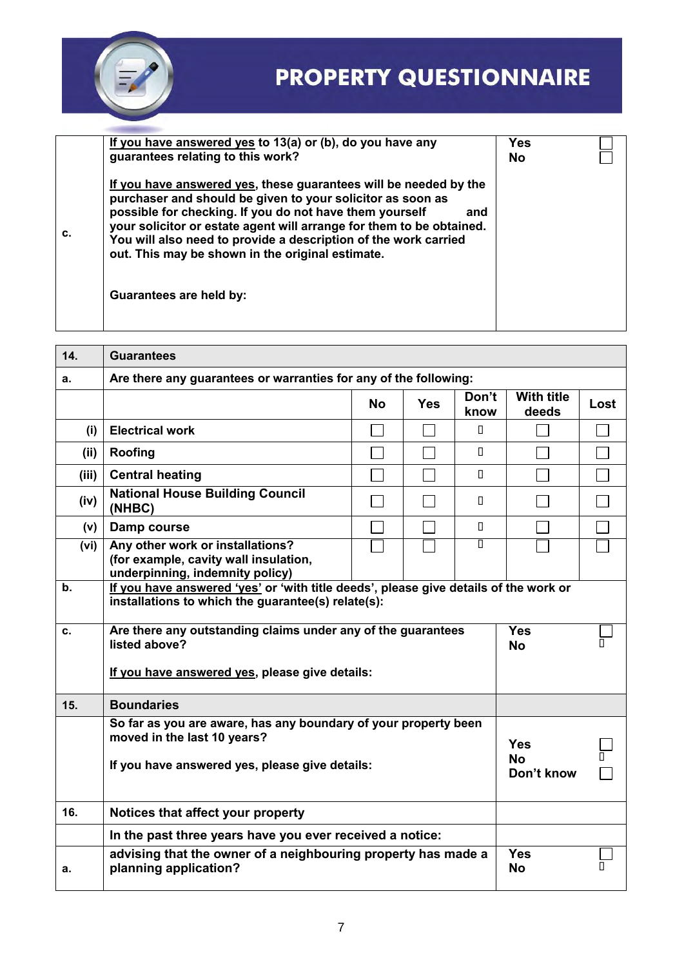

|    | If you have answered yes to 13(a) or (b), do you have any<br>guarantees relating to this work?                                                                                                                                                                                                                                                                                                  | Yes<br><b>No</b> |  |
|----|-------------------------------------------------------------------------------------------------------------------------------------------------------------------------------------------------------------------------------------------------------------------------------------------------------------------------------------------------------------------------------------------------|------------------|--|
| C. | If you have answered yes, these guarantees will be needed by the<br>purchaser and should be given to your solicitor as soon as<br>possible for checking. If you do not have them yourself<br>and<br>your solicitor or estate agent will arrange for them to be obtained.<br>You will also need to provide a description of the work carried<br>out. This may be shown in the original estimate. |                  |  |
|    | Guarantees are held by:                                                                                                                                                                                                                                                                                                                                                                         |                  |  |

| 14.   | <b>Guarantees</b>                                                                                                                                |           |                         |               |                                       |      |  |
|-------|--------------------------------------------------------------------------------------------------------------------------------------------------|-----------|-------------------------|---------------|---------------------------------------|------|--|
| a.    | Are there any guarantees or warranties for any of the following:                                                                                 |           |                         |               |                                       |      |  |
|       |                                                                                                                                                  | <b>No</b> | <b>Yes</b>              | Don't<br>know | <b>With title</b><br>deeds            | Lost |  |
| (i)   | <b>Electrical work</b>                                                                                                                           |           |                         | П             |                                       |      |  |
| (ii)  | Roofing                                                                                                                                          |           |                         | Л             |                                       |      |  |
| (iii) | <b>Central heating</b>                                                                                                                           |           |                         | П             |                                       |      |  |
| (iv)  | <b>National House Building Council</b><br>(NHBC)                                                                                                 |           |                         | $\Box$        |                                       |      |  |
| (v)   | Damp course                                                                                                                                      |           |                         | Л             |                                       |      |  |
| (vi)  | Any other work or installations?<br>(for example, cavity wall insulation,<br>underpinning, indemnity policy)                                     |           |                         | Π             |                                       |      |  |
| b.    | If you have answered 'yes' or 'with title deeds', please give details of the work or<br>installations to which the guarantee(s) relate(s):       |           |                         |               |                                       |      |  |
| c.    | Are there any outstanding claims under any of the guarantees<br>listed above?                                                                    |           | <b>Yes</b><br><b>No</b> |               |                                       |      |  |
|       | If you have answered yes, please give details:                                                                                                   |           |                         |               |                                       |      |  |
| 15.   | <b>Boundaries</b>                                                                                                                                |           |                         |               |                                       |      |  |
|       | So far as you are aware, has any boundary of your property been<br>moved in the last 10 years?<br>If you have answered yes, please give details: |           |                         |               | <b>Yes</b><br><b>No</b><br>Don't know |      |  |
| 16.   | Notices that affect your property                                                                                                                |           |                         |               |                                       |      |  |
|       | In the past three years have you ever received a notice:                                                                                         |           |                         |               |                                       |      |  |
| a.    | advising that the owner of a neighbouring property has made a<br>planning application?                                                           |           |                         |               | <b>Yes</b><br><b>No</b>               | п    |  |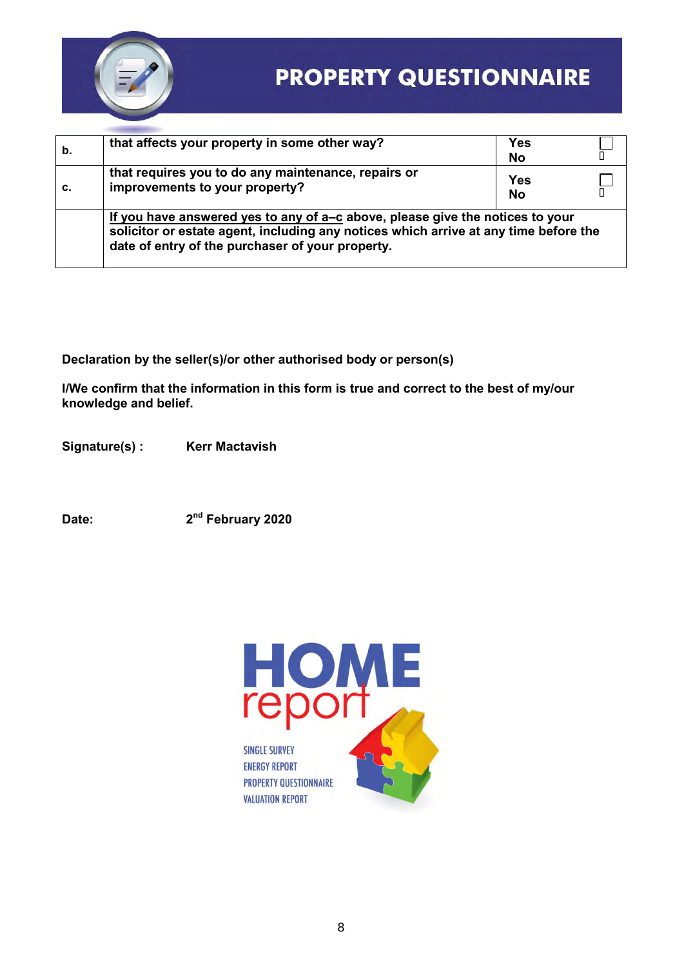

| b. | that affects your property in some other way?                                                                                                                                                                             | Yes<br><b>No</b>        |  |  |  |
|----|---------------------------------------------------------------------------------------------------------------------------------------------------------------------------------------------------------------------------|-------------------------|--|--|--|
| c. | that requires you to do any maintenance, repairs or<br>improvements to your property?                                                                                                                                     | <b>Yes</b><br><b>No</b> |  |  |  |
|    | If you have answered yes to any of a-c above, please give the notices to your<br>solicitor or estate agent, including any notices which arrive at any time before the<br>date of entry of the purchaser of your property. |                         |  |  |  |

**Declaration by the seller(s)/or other authorised body or person(s)** 

**I/We confirm that the information in this form is true and correct to the best of my/our knowledge and belief.** 

Signature(s) : Kerr Mactavish

**Date: 2nd February 2020**